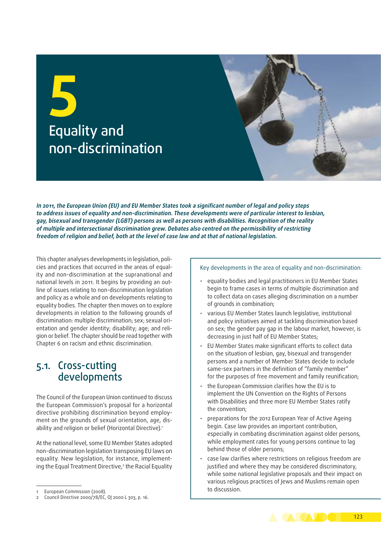# **5** Equality and non‑discrimination



**In 2011, the European Union (EU) and EU Member States took a significant number of legal and policy steps to address issues of equality and non‑discrimination. These developments were of particular interest to lesbian, gay, bisexual and transgender (LGBT) persons as well as persons with disabilities. Recognition of the reality of multiple and intersectional discrimination grew. Debates also centred on the permissibility of restricting freedom of religion and belief, both at the level of case law and at that of national legislation.**

This chapter analyses developments in legislation, policies and practices that occurred in the areas of equality and non‑discrimination at the supranational and national levels in 2011. It begins by providing an outline of issues relating to non‑discrimination legislation and policy as a whole and on developments relating to equality bodies. The chapter then moves on to explore developments in relation to the following grounds of discrimination: multiple discrimination; sex; sexual orientation and gender identity; disability; age; and religion or belief. The chapter should be read together with Chapter 6 on racism and ethnic discrimination.

## 5.1. Cross‑cutting developments

The Council of the European Union continued to discuss the European Commission's proposal for a horizontal directive prohibiting discrimination beyond employment on the grounds of sexual orientation, age, disability and religion or belief (Horizontal Directive).<sup>1</sup>

At the national level, some EU Member States adopted non‑discrimination legislation transposing EU laws on equality. New legislation, for instance, implementing the Equal Treatment Directive,<sup>2</sup> the Racial Equality Key developments in the area of equality and non-discrimination:

- equality bodies and legal practitioners in EU Member States begin to frame cases in terms of multiple discrimination and to collect data on cases alleging discrimination on a number of grounds in combination;
- various EU Member States launch legislative, institutional and policy initiatives aimed at tackling discrimination based on sex; the gender pay gap in the labour market, however, is decreasing in just half of EU Member States;
- EU Member States make significant efforts to collect data on the situation of lesbian, gay, bisexual and transgender persons and a number of Member States decide to include same-sex partners in the definition of "family member" for the purposes of free movement and family reunification;
- the European Commission clarifies how the EU is to implement the UN Convention on the Rights of Persons with Disabilities and three more EU Member States ratify the convention;
- preparations for the 2012 European Year of Active Ageing begin. Case law provides an important contribution, especially in combating discrimination against older persons, while employment rates for young persons continue to lag behind those of older persons;
- case law clarifies where restrictions on religious freedom are justified and where they may be considered discriminatory, while some national legislative proposals and their impact on various religious practices of Jews and Muslims remain open to discussion.



European Commission (2008).

<sup>2</sup> Council Directive 2000/78/EC, OJ 2000 L 303, p. 16.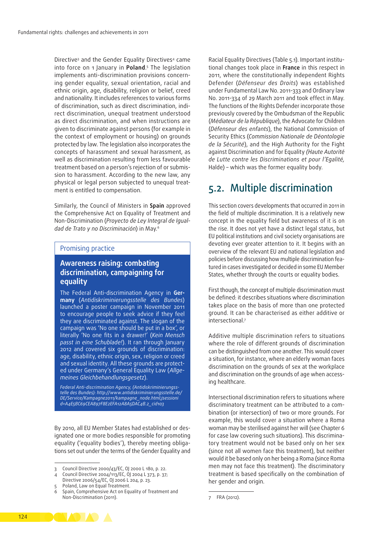Directive<sup>3</sup> and the Gender Equality Directives<sup>4</sup> came into force on 1 January in **Poland**. 5 The legislation implements anti-discrimination provisions concerning gender equality, sexual orientation, racial and ethnic origin, age, disability, religion or belief, creed and nationality. It includes references to various forms of discrimination, such as direct discrimination, indirect discrimination, unequal treatment understood as direct discrimination, and when instructions are given to discriminate against persons (for example in the context of employment or housing) on grounds protected by law. The legislation also incorporates the concepts of harassment and sexual harassment, as well as discrimination resulting from less favourable treatment based on a person's rejection of or submission to harassment. According to the new law, any physical or legal person subjected to unequal treatment is entitled to compensation.

Similarly, the Council of Ministers in **Spain** approved the Comprehensive Act on Equality of Treatment and Non‑Discrimination (*Proyecto de Ley Integral de Igual‑ dad de Trato y no Discriminación*) in May*.* 6

#### Promising practice

## **Awareness raising: combating discrimination, campaigning for equality**

The Federal Anti‑discrimination Agency in **Ger‑ many** (*Antidiskriminierungsstelle des Bundes*) launched a poster campaign in November 2011 to encourage people to seek advice if they feel they are discriminated against. The slogan of the campaign was 'No one should be put in a box', or literally 'No one fits in a drawer!' (*Kein Mensch passt in eine Schublade!*). It ran through January 2012 and covered six grounds of discrimination: age, disability, ethnic origin, sex, religion or creed and sexual identity. All these grounds are protected under Germany's General Equality Law (*Allge‑ meines Gleichbehandlungsgesetz*).

*Federal Anti‑discrimination Agency, (Antidiskriminierungss‑ telle des Bundes): [http://www.antidiskriminierungsstelle.de/](http://www.antidiskriminierungsstelle.de/DE/Service/Kampagne2011/kampagne_node.html;jsessionid=A4E5BC69CEA897F8E2EFA12A8A5DAC4B.2_cid103) [DE/Service/Kampagne2011/kampagne\\_node.html;jsessioni](http://www.antidiskriminierungsstelle.de/DE/Service/Kampagne2011/kampagne_node.html;jsessionid=A4E5BC69CEA897F8E2EFA12A8A5DAC4B.2_cid103) [d=A4E5BC69CEA897F8E2EFA12A8A5DAC4B.2\\_cid103](http://www.antidiskriminierungsstelle.de/DE/Service/Kampagne2011/kampagne_node.html;jsessionid=A4E5BC69CEA897F8E2EFA12A8A5DAC4B.2_cid103)*

By 2010, all EU Member States had established or designated one or more bodies responsible for promoting equality ('equality bodies'), thereby meeting obligations set out under the terms of the Gender Equality and Racial Equality Directives (Table 5.1). Important institutional changes took place in **France** in this respect in 2011, where the constitutionally independent Rights Defender (*Défenseur des Droits*) was established under Fundamental Law No. 2011-333 and Ordinary law No. 2011-334 of 29 March 2011 and took effect in May. The functions of the Rights Defender incorporate those previously covered by the Ombudsman of the Republic (*Médiateur de la République*), the Advocate for Children (*Défenseur des enfants*), the National Commission of Security Ethics (*Commission Nationale de Déontologie de la Sécurité*), and the High Authority for the Fight against Discrimination and for Equality *(Haute Autorité de Lutte contre les Discriminations et pour l'Egalité,* Halde) – which was the former equality body.

## 5.2. Multiple discrimination

This section covers developments that occurred in 2011 in the field of multiple discrimination. It is a relatively new concept in the equality field but awareness of it is on the rise. It does not yet have a distinct legal status, but EU political institutions and civil society organisations are devoting ever greater attention to it. It begins with an overview of the relevant EU and national legislation and policies before discussing how multiple discrimination fea‑ tured in cases investigated or decided in some EU Member States, whether through the courts or equality bodies.

First though, the concept of multiple discrimination must be defined: it describes situations where discrimination takes place on the basis of more than one protected ground. It can be characterised as either additive or intersectional.7

Additive multiple discrimination refers to situations where the role of different grounds of discrimination can be distinguished from one another. This would cover a situation, for instance, where an elderly woman faces discrimination on the grounds of sex at the workplace and discrimination on the grounds of age when accessing healthcare.

Intersectional discrimination refers to situations where discriminatory treatment can be attributed to a combination (or intersection) of two or more grounds. For example, this would cover a situation where a Roma woman may be sterilised against her will (see Chapter 6 for case law covering such situations). This discriminatory treatment would not be based only on her sex (since not all women face this treatment), but neither would it be based only on her being a Roma (since Roma men may not face this treatment). The discriminatory treatment is based specifically on the combination of her gender and origin.



<sup>3</sup> Council Directive 2000/43/EC, OJ 2000 L 180, p. 22.

<sup>4</sup> Council Directive 2004/113/EC, OJ 2004 L 373, p. 37; Directive 2006/54/EC, OJ 2006 L 204, p. 23.

Poland, Law on Equal Treatment.

Spain, Comprehensive Act on Equality of Treatment and Non‑Discrimination (2011).

<sup>7</sup> FRA (2012).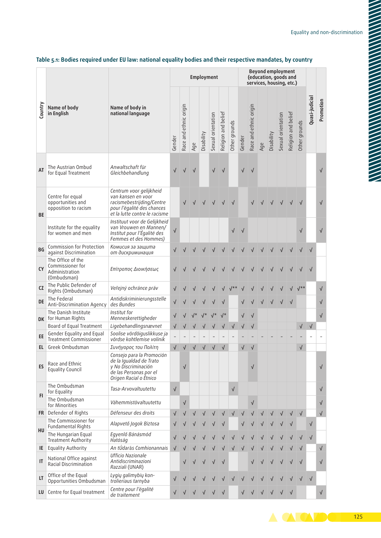|           |                                                                        |                                                                                                                                           |            |                        |           | <b>Employment</b> |                    |                     |               |            | services, housing, etc.) |     | <b>Beyond employment</b><br>(education, goods and |                    |                     |               |                | Promotion  |
|-----------|------------------------------------------------------------------------|-------------------------------------------------------------------------------------------------------------------------------------------|------------|------------------------|-----------|-------------------|--------------------|---------------------|---------------|------------|--------------------------|-----|---------------------------------------------------|--------------------|---------------------|---------------|----------------|------------|
| Country   | Name of body<br>in English                                             | Name of body in<br>national language                                                                                                      | Gender     | Race and ethnic origin | Age       | Disability        | Sexual orientation | Religion and belief | Other grounds | Gender     | Race and ethnic origin   | Age | Disability                                        | Sexual orientation | Religion and belief | Other grounds | Quasi-judicial |            |
| AT        | The Austrian Ombud<br>for Equal Treatment                              | Anwaltschaft für<br>Gleichbehandlung                                                                                                      |            |                        |           |                   | $\sqrt{}$          | $\sqrt{}$           |               | √          | $\sqrt{ }$               |     |                                                   |                    |                     |               |                | $\sqrt{}$  |
| <b>BE</b> | Centre for equal<br>opportunities and<br>opposition to racism          | Centrum voor gelijkheid<br>van kansen en voor<br>racismebestrijding/Centre<br>pour l'égalité des chances<br>et la lutte contre le racisme |            |                        |           |                   |                    |                     |               |            |                          |     |                                                   |                    |                     |               |                | $\sqrt{ }$ |
|           | Institute for the equality<br>for women and men                        | Instituut voor de Gelijkheid<br>van Vrouwen en Mannen/<br>Institut pour l'Égalité des<br>Femmes et des Hommes)                            | $\sqrt{}$  |                        |           |                   |                    |                     | $\sqrt{}$     | $\sqrt{ }$ |                          |     |                                                   |                    |                     | $\sqrt{}$     |                | $\sqrt{ }$ |
| BG        | Commission for Protection<br>against Discrimination                    | Комисия за защита<br>от дискриминация                                                                                                     | √          |                        |           |                   |                    |                     |               |            |                          |     |                                                   |                    |                     |               |                |            |
| <b>CY</b> | The Office of the<br>Commissioner for<br>Administration<br>(Ombudsman) | Επίτροπος Διοικήσεως                                                                                                                      |            |                        |           |                   |                    |                     |               |            |                          |     |                                                   |                    |                     |               |                |            |
| CZ        | The Public Defender of<br>Rights (Ombudsman)                           | Veřejný ochránce práv                                                                                                                     |            |                        |           |                   |                    |                     |               |            |                          |     |                                                   |                    |                     |               |                | $\sqrt{ }$ |
| DE        | The Federal<br>Anti-Discrimination Agency                              | Antidiskriminierungsstelle<br>des Bundes                                                                                                  |            |                        |           |                   |                    |                     |               |            |                          |     |                                                   |                    |                     |               |                | $\sqrt{}$  |
|           | The Danish Institute<br>DK for Human Rights                            | Institut for<br>Menneskerettigheder                                                                                                       |            |                        |           |                   |                    |                     |               | $\sqrt{}$  |                          |     |                                                   |                    |                     |               |                | $\sqrt{}$  |
|           | Board of Equal Treatment                                               | Ligebehandlingsnævnet                                                                                                                     | √          |                        |           |                   |                    | $\sqrt{}$           | √             |            |                          |     |                                                   |                    |                     | √             | $\sqrt{ }$     |            |
| EE        | Gender Equality and Equal<br><b>Treatment Commissioner</b>             | Soolise võrdõiguslikkuse ja<br>võrdse kohtlemise volinik                                                                                  |            |                        |           |                   |                    |                     |               |            |                          |     |                                                   |                    |                     |               |                |            |
| EL.       | Greek Ombudsman                                                        | Συνήγορος του Πολίτη                                                                                                                      | $\sqrt{}$  | $\sqrt{}$              | $\sqrt{}$ | $\sqrt{}$         | $\sqrt{}$          | $\sqrt{}$           |               | √          |                          |     |                                                   |                    |                     | $\sqrt{}$     |                |            |
| ES        | Race and Ethnic<br><b>Equality Council</b>                             | Consejo para la Promoción<br>de la Igualdad de Trato<br>y No Discriminación<br>de las Personas por el<br>Origen Racial o Étnico           |            | $\sqrt{}$              |           |                   |                    |                     |               |            | √                        |     |                                                   |                    |                     |               |                | $\sqrt{ }$ |
|           | The Ombudsman<br>for Equality                                          | Tasa-Arvovaltuutettu                                                                                                                      | $\sqrt{ }$ |                        |           |                   |                    |                     | $\sqrt{}$     |            |                          |     |                                                   |                    |                     |               |                | $\sqrt{ }$ |
| FI.       | The Ombudsman<br>for Minorities                                        | Vähemmistövaltuutettu                                                                                                                     |            | $\sqrt{}$              |           |                   |                    |                     |               |            | $\sqrt{ }$               |     |                                                   |                    |                     |               |                | $\sqrt{ }$ |
|           | FR Defender of Rights                                                  | Défenseur des droits                                                                                                                      | $\sqrt{}$  |                        |           |                   |                    |                     |               | $\sqrt{}$  |                          |     |                                                   |                    |                     | $\sqrt{ }$    |                | $\sqrt{ }$ |
| HU        | The Commissioner for<br>Fundamental Rights                             | Alapvető Jogok Biztosa                                                                                                                    | $\sqrt{}$  |                        |           |                   |                    |                     |               |            |                          |     |                                                   |                    |                     |               | $\sqrt{}$      |            |
|           | The Hungarian Equal<br>Treatment Authority                             | Egyenlő Bánásmód<br>Hatóság                                                                                                               |            |                        |           |                   |                    |                     |               |            |                          |     |                                                   |                    |                     |               | $\sqrt{}$      |            |
| IE.       | <b>Equality Authority</b>                                              | An tÚdarás Comhionannais                                                                                                                  | √          |                        |           |                   |                    |                     |               |            |                          |     |                                                   |                    |                     |               |                | $\sqrt{ }$ |
| IT        | National Office against<br>Racial Discrimination                       | Ufficio Nazionale<br>Antidiscriminazioni<br>Razziali (UNAR)                                                                               |            |                        |           |                   |                    | $\sqrt{}$           |               |            |                          |     |                                                   |                    |                     | $\sqrt{}$     |                | $\sqrt{}$  |
| LT        | Office of the Equal<br>Opportunities Ombudsman                         | Lygių galimybių kon-<br>trolieriaus tarnyba                                                                                               |            |                        |           |                   |                    |                     |               |            |                          |     |                                                   |                    |                     |               | $\sqrt{}$      |            |
| LU        | Centre for Equal treatment                                             | Centre pour l'égalité<br>de traitement                                                                                                    |            |                        |           |                   |                    | $\sqrt{}$           |               |            |                          |     |                                                   |                    |                     |               |                | $\sqrt{}$  |
|           |                                                                        |                                                                                                                                           |            |                        |           |                   |                    |                     |               |            |                          |     |                                                   |                    |                     |               |                |            |

## **Table 5.1: Bodies required under EU law: national equality bodies and their respective mandates, by country**

125

A A ADO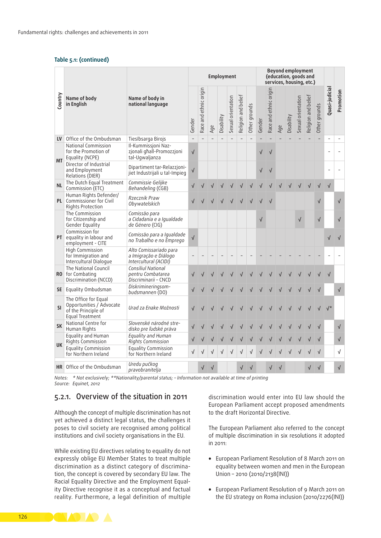#### **Table 5.1: (continued)**

|           | Name of body<br>Name of body in<br>in English<br>national language                         |                                                                          | <b>Employment</b> |                        |     |            |                    |                     | <b>Beyond employment</b><br>(education, goods and<br>services, housing, etc.) |           |                        |     |            |                    |                     |               |                          |            |
|-----------|--------------------------------------------------------------------------------------------|--------------------------------------------------------------------------|-------------------|------------------------|-----|------------|--------------------|---------------------|-------------------------------------------------------------------------------|-----------|------------------------|-----|------------|--------------------|---------------------|---------------|--------------------------|------------|
| Country   |                                                                                            |                                                                          | Gender            | Race and ethnic origin | Age | Disability | Sexual orientation | Religion and belief | Other grounds                                                                 | Gender    | Race and ethnic origin | Age | Disability | Sexual orientation | Religion and belief | Other grounds | Quasi-judicial           | Promotion  |
| LV        | Office of the Ombudsman                                                                    | Tiesībsarga Birojs                                                       |                   | $\equiv$               |     |            |                    | $\bar{a}$           |                                                                               |           |                        |     |            |                    |                     |               |                          |            |
| <b>MT</b> | National Commission<br>for the Promotion of<br>Equality (NCPE)                             | Il-Kummissjoni Naz-<br>zionali ghall-Promozzioni<br>tal-Ugwaljanza       | $\sqrt{}$         |                        |     |            |                    |                     |                                                                               | √         |                        |     |            |                    |                     |               | $\overline{\phantom{a}}$ |            |
|           | Director of Industrial<br>and Employment<br>Relations (DIER)                               | Dipartiment tar-Relazzjoni-<br>jiet Industrijali u tal-Impieg            | $\sqrt{ }$        |                        |     |            |                    |                     |                                                                               |           |                        |     |            |                    |                     |               |                          |            |
| <b>NL</b> | The Dutch Equal Treatment<br>Commission (ETC)                                              | Commissie Gelijke<br>Behandeling (CGB)                                   |                   |                        |     |            |                    |                     |                                                                               |           |                        |     |            |                    |                     |               | $\sqrt{}$                |            |
|           | Human Rights Defender/<br><b>PL</b> Commissioner for Civil<br>Rights Protection            | Rzecznik Praw<br>Obywatelskich                                           |                   |                        |     |            |                    |                     |                                                                               |           |                        |     |            |                    |                     | $\sqrt{}$     |                          | $\sqrt{ }$ |
|           | The Commission<br>for Citizenship and<br>Gender Equality                                   | Comissão para<br>a Cidadania e a Igualdade<br>de Género (CIG)            |                   |                        |     |            |                    |                     |                                                                               | $\sqrt{}$ |                        |     |            |                    |                     | $\sqrt{}$     |                          | $\sqrt{}$  |
|           | Commission for<br>PT equality in labour and<br>employment - CITE                           | Comissão para a Igualdade<br>no Trabalho e no Emprego                    | $\sqrt{}$         |                        |     |            |                    |                     |                                                                               |           |                        |     |            |                    |                     |               |                          |            |
|           | High Commission<br>for Immigration and<br>Intercultural Dialogue                           | Alto Comissariado para<br>a Imigração e Diálogo<br>Intercultural (ACIDI) |                   |                        |     |            |                    |                     |                                                                               |           |                        |     |            |                    |                     |               |                          |            |
|           | The National Council<br><b>RO</b> for Combating<br>Discrimination (NCCD)                   | Consiliul National<br>pentru Combatarea<br>Discriminarii - CNCD          |                   |                        |     |            |                    |                     |                                                                               |           |                        |     |            |                    |                     |               |                          |            |
|           | SE Equality Ombudsman                                                                      | Diskrimineringsom-<br>budsmannen (DO)                                    |                   |                        |     |            |                    |                     |                                                                               |           |                        |     |            |                    |                     |               |                          | $\sqrt{ }$ |
| <b>SI</b> | The Office for Equal<br>Opportunities / Advocate<br>of the Principle of<br>Equal Treatment | Urad za Enake Možnosti                                                   |                   |                        |     |            |                    |                     |                                                                               |           |                        |     |            |                    |                     |               |                          |            |
| <b>SK</b> | National Centre for<br>Human Rights                                                        | Slovenské národné stre-<br>disko pre ľudské práva                        |                   |                        |     |            |                    |                     |                                                                               |           |                        |     |            |                    |                     |               |                          | $\sqrt{}$  |
| <b>UK</b> | Equality and Human<br>Rights Commission                                                    | Equality and Human<br><b>Rights Commission</b>                           |                   |                        |     |            |                    |                     |                                                                               |           |                        |     |            |                    |                     |               |                          | $\sqrt{}$  |
|           | <b>Equality Commission</b><br>for Northern Ireland                                         | <b>Equality Commission</b><br>for Northern Ireland                       | $\sqrt{}$         | √                      |     |            |                    |                     |                                                                               |           |                        |     |            |                    |                     |               |                          | √          |
|           | HR Office of the Ombudsman                                                                 | Uredu pučkog<br>pravobranitelja                                          |                   |                        |     |            |                    |                     |                                                                               |           |                        |     |            |                    |                     |               |                          | $\sqrt{}$  |

*Notes: \* Not exclusively; \*\*Nationality/parental status; – Information not available at time of printing Source: Equinet, 2012*

## 5.2.1. Overview of the situation in 2011

Although the concept of multiple discrimination has not yet achieved a distinct legal status, the challenges it poses to civil society are recognised among political institutions and civil society organisations in the EU.

While existing EU directives relating to equality do not expressly oblige EU Member States to treat multiple discrimination as a distinct category of discrimination, the concept is covered by secondary EU law. The Racial Equality Directive and the Employment Equality Directive recognise it as a conceptual and factual reality. Furthermore, a legal definition of multiple

discrimination would enter into EU law should the European Parliament accept proposed amendments to the draft Horizontal Directive.

The European Parliament also referred to the concept of multiple discrimination in six resolutions it adopted in 2011:

- European Parliament Resolution of 8 March 2011 on equality between women and men in the European Union – 2010 (2010/2138(INI))
- European Parliament Resolution of 9 March 2011 on the EU strategy on Roma inclusion (2010/2276(INI))

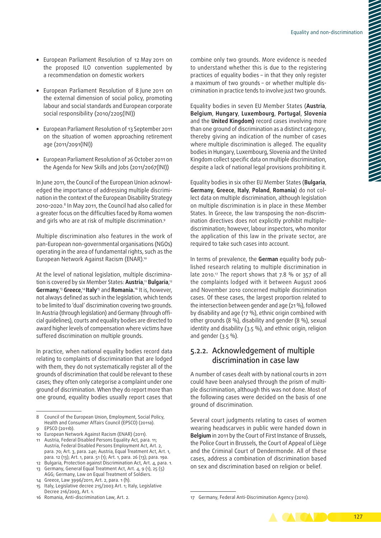- European Parliament Resolution of 12 May 2011 on the proposed ILO convention supplemented by a recommendation on domestic workers
- European Parliament Resolution of 8 June 2011 on the external dimension of social policy, promoting labour and social standards and European corporate social responsibility (2010/2205(INI))
- European Parliament Resolution of 13 September 2011 on the situation of women approaching retirement age (2011/2091(INI))
- European Parliament Resolution of 26 October 2011 on the Agenda for New Skills and Jobs (2011/2067(INI))

In June 2011, the Council of the European Union acknowledged the importance of addressing multiple discrimination in the context of the European Disability Strategy 2010–2020.8 In May 2011, the Council had also called for a greater focus on the difficulties faced by Roma women and girls who are at risk of multiple discrimination.<sup>9</sup>

Multiple discrimination also features in the work of pan‑European non‑governmental organisations (NGOs) operating in the area of fundamental rights, such as the European Network Against Racism (ENAR).10

At the level of national legislation, multiple discrimination is covered by six Member States: **Austria**, <sup>11</sup> **Bulgaria**, 12 **Germany**, <sup>13</sup> **Greece**, <sup>14</sup>**Italy**15 and **Romania.**16 It is, however, not always defined as such in the legislation, which tends to be limited to 'dual' discrimination covering two grounds. In Austria (through legislation) and Germany (through official guidelines), courts and equality bodies are directed to award higher levels of compensation where victims have suffered discrimination on multiple grounds.

In practice, when national equality bodies record data relating to complaints of discrimination that are lodged with them, they do not systematically register all of the grounds of discrimination that could be relevant to these cases; they often only categorise a complaint under one ground of discrimination. When they do report more than one ground, equality bodies usually report cases that

- 9 EPSCO (2011b).
- 10 European Network Against Racism (ENAR) (2011). 11 Austria, Federal Disabled Persons Equality Act*,* para. 11; Austria, Federal Disabled Persons Employment Act, Art. 2, para. 70; Art. 3, para. 24e; Austria, Equal Treatment Act, Art. 1, para. 12 (13); Art. 1, para. 51 (1); Art. 1, para. 26 (13); para. 19a.
- 12 Bulgaria, Protection against Discrimination Act, Art. 4, para. 1.
- 13 Germany, General Equal Treatment Act, Art. 4, 9 (1), 25 (5) AGG; Germany, Law on Equal Treatment of Soldiers.
- 14 Greece, Law 3996/2011, Art. 2, para. 1 (h). 15 Italy, Legislative decree 215/2003 Art. 1; Italy, Legislative
- Decree 216/2003, Art. 1.
- 16 Romania, Anti‑discrimination Law, Art. 2.

combine only two grounds. More evidence is needed to understand whether this is due to the registering practices of equality bodies – in that they only register a maximum of two grounds - or whether multiple discrimination in practice tends to involve just two grounds.

Equality bodies in seven EU Member States (**Austria**, **Belgium**, **Hungary**, **Luxembourg**, **Portugal**, **Slovenia** and the **United Kingdom)** record cases involving more than one ground of discrimination as a distinct category, thereby giving an indication of the number of cases where multiple discrimination is alleged. The equality bodies in Hungary, Luxembourg, Slovenia and the United Kingdom collect specific data on multiple discrimination, despite a lack of national legal provisions prohibiting it.

Equality bodies in six other EU Member States (**Bulgaria**, **Germany**, **Greece**, **Italy**, **Poland**, **Romania**) do not col‑ lect data on multiple discrimination, although legislation on multiple discrimination is in place in these Member States. In Greece, the law transposing the non-discrimination directives does not explicitly prohibit multiplediscrimination; however, labour inspectors, who monitor the application of this law in the private sector, are required to take such cases into account.

In terms of prevalence, the **German** equality body pub‑ lished research relating to multiple discrimination in late 2010.<sup>17</sup> The report shows that 7.8 % or 357 of all the complaints lodged with it between August 2006 and November 2010 concerned multiple discrimination cases. Of these cases, the largest proportion related to the intersection between gender and age (21 %), followed by disability and age (17 %), ethnic origin combined with other grounds (8 %), disability and gender (8 %), sexual identity and disability (3.5 %), and ethnic origin, religion and gender (3.5 %).

## 5.2.2. Acknowledgement of multiple discrimination in case law

A number of cases dealt with by national courts in 2011 could have been analysed through the prism of multiple discrimination, although this was not done. Most of the following cases were decided on the basis of one ground of discrimination.

Several court judgments relating to cases of women wearing headscarves in public were handed down in **Belgium** in 2011 by the Court of First Instance of Brussels, the Police Court in Brussels, the Court of Appeal of Liège and the Criminal Court of Dendermonde. All of these cases, address a combination of discrimination based on sex and discrimination based on religion or belief.

<sup>17</sup> Germany, Federal Anti-Discrimination Agency (2010).



<sup>8</sup> Council of the European Union, Employment, Social Policy, Health and Consumer Affairs Council (EPSCO) (2011a).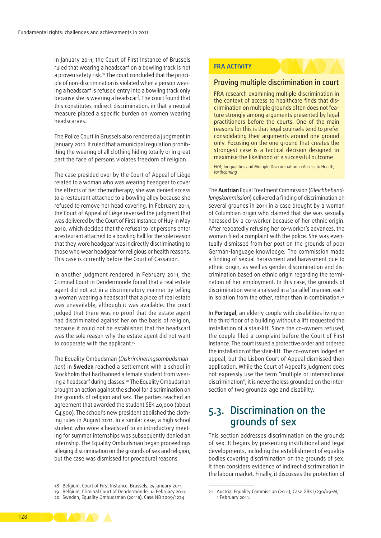In January 2011, the Court of First Instance of Brussels ruled that wearing a headscarf on a bowling track is not a proven safety risk.<sup>18</sup> The court concluded that the principle of non-discrimination is violated when a person wearing a headscarf is refused entry into a bowling track only because she is wearing a headscarf. The court found that this constitutes indirect discrimination, in that a neutral measure placed a specific burden on women wearing headscarves.

The Police Court in Brussels also rendered a judgment in January 2011. It ruled that a municipal regulation prohibiting the wearing of all clothing hiding totally or in great part the face of persons violates freedom of religion.

The case presided over by the Court of Appeal of Liège related to a woman who was wearing headgear to cover the effects of her chemotherapy; she was denied access to a restaurant attached to a bowling alley because she refused to remove her head covering. In February 2011, the Court of Appeal of Liège reversed the judgment that was delivered by the Court of First Instance of Huy in May 2010, which decided that the refusal to let persons enter a restaurant attached to a bowling hall for the sole reason that they wore headgear was indirectly discriminating to those who wear headgear for religious or health reasons. This case is currently before the Court of Cassation.

In another judgment rendered in February 2011, the Criminal Court in Dendermonde found that a real estate agent did not act in a discriminatory manner by telling a woman wearing a headscarf that a piece of real estate was unavailable, although it was available. The court judged that there was no proof that the estate agent had discriminated against her on the basis of religion, because it could not be established that the headscarf was the sole reason why the estate agent did not want to cooperate with the applicant.<sup>19</sup>

The Equality Ombudsman (*Diskrimineringsombudsman‑ nen*) in **Sweden** reached a settlement with a school in Stockholm that had banned a female student from wearing a headscarf during classes.<sup>20</sup> The Equality Ombudsman brought an action against the school for discrimination on the grounds of religion and sex. The parties reached an agreement that awarded the student SEK 40,000 (about  $\epsilon_{4,5}$ 00). The school's new president abolished the clothing rules in August 2011. In a similar case, a high school student who wore a headscarf to an introductory meeting for summer internships was subsequently denied an internship. The Equality Ombudsman began proceedings alleging discrimination on the grounds of sex and religion, but the case was dismissed for procedural reasons.

#### **FRA ACTIVITY**

## Proving multiple discrimination in court

FRA research examining multiple discrimination in the context of access to healthcare finds that discrimination on multiple grounds often does not feature strongly among arguments presented by legal practitioners before the courts. One of the main reasons for this is that legal counsels tend to prefer consolidating their arguments around one ground only. Focusing on the one ground that creates the strongest case is a tactical decision designed to maximise the likelihood of a successful outcome.

*FRA,* Inequalities and Multiple Discrimination in Access to Health*, forthcoming*

The **Austrian** Equal Treatment Commission (*Gleichbehand‑ lungskommission*) delivered a finding of discrimination on several grounds in 2011 in a case brought by a woman of Columbian origin who claimed that she was sexually harassed by a co‑worker because of her ethnic origin. After repeatedly refusing her co‑worker's advances, the woman filed a complaint with the police. She was eventually dismissed from her post on the grounds of poor German‑language knowledge. The commission made a finding of sexual harassment and harassment due to ethnic origin, as well as gender discrimination and discrimination based on ethnic origin regarding the termination of her employment. In this case, the grounds of discrimination were analysed in a 'parallel' manner, each in isolation from the other, rather than in combination.<sup>21</sup>

In **Portugal**, an elderly couple with disabilities living on the third floor of a building without a lift requested the installation of a stair-lift. Since the co-owners refused, the couple filed a complaint before the Court of First Instance. The court issued a protective order and ordered the installation of the stair‑lift. The co‑owners lodged an appeal, but the Lisbon Court of Appeal dismissed their application. While the Court of Appeal's judgment does not expressly use the term "multiple or intersectional discrimination", it is nevertheless grounded on the intersection of two grounds: age and disability.

## 5.3. Discrimination on the grounds of sex

This section addresses discrimination on the grounds of sex. It begins by presenting institutional and legal developments, including the establishment of equality bodies covering discrimination on the grounds of sex. It then considers evidence of indirect discrimination in the labour market. Finally, it discusses the protection of



<sup>18</sup> Belgium, Court of First Instance, Brussels, 25 January 2011.

<sup>19</sup> Belgium, Criminal Court of Dendermonde, 14 February 2011.

<sup>20</sup> Sweden, Equality Ombudsman (2011a), Case NB 2009/1224.

<sup>21</sup> Austria, Equality Commission (2011), Case GBK I/230/09-M, 1 February 2011.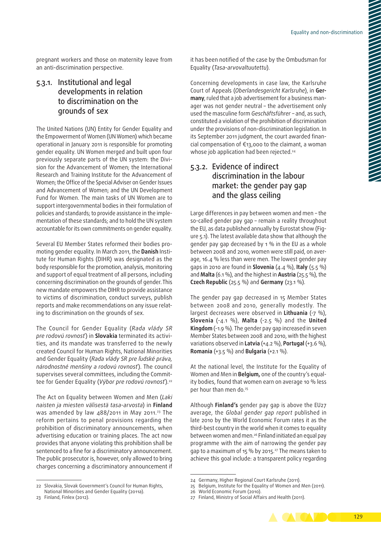pregnant workers and those on maternity leave from an anti-discrimination perspective.

## 5.3.1. Institutional and legal developments in relation to discrimination on the grounds of sex

The United Nations (UN) Entity for Gender Equality and the Empowerment of Women (UN Women) which became operational in January 2011 is responsible for promoting gender equality. UN Women merged and built upon four previously separate parts of the UN system: the Division for the Advancement of Women; the International Research and Training Institute for the Advancement of Women; the Office of the Special Adviser on Gender Issues and Advancement of Women; and the UN Development Fund for Women. The main tasks of UN Women are to support intergovernmental bodies in their formulation of policies and standards; to provide assistance in the implementation of these standards; and to hold the UN system accountable for its own commitments on gender equality.

Several EU Member States reformed their bodies promoting gender equality. In March 2011, the **Danish** Insti‑ tute for Human Rights (DIHR) was designated as the body responsible for the promotion, analysis, monitoring and support of equal treatment of all persons, including concerning discrimination on the grounds of gender.This new mandate empowers the DIHR to provide assistance to victims of discrimination, conduct surveys, publish reports and make recommendations on any issue relating to discrimination on the grounds of sex.

The Council for Gender Equality (*Rada vlády SR pre rodovú rovnosť*) in **Slovakia** terminated its activi‑ ties, and its mandate was transferred to the newly created Council for Human Rights, National Minorities and Gender Equality (*Rada vlády SR pre ľudské práva, národnostné menšiny a rodovú rovnosť*). The council supervises several committees, including the Committee for Gender Equality (Výbor pre rodovú rovnosť).<sup>22</sup>

The Act on Equality between Women and Men (*Laki naisten ja miesten välisestä tasa‑arvosta*) in **Finland** was amended by law  $488/2011$  in May 2011.<sup>23</sup> The reform pertains to penal provisions regarding the prohibition of discriminatory announcements, when advertising education or training places. The act now provides that anyone violating this prohibition shall be sentenced to a fine for a discriminatory announcement. The public prosecutor is, however, only allowed to bring charges concerning a discriminatory announcement if

it has been notified of the case by the Ombudsman for Equality (*Tasa‑arvovaltuutettu*).

Concerning developments in case law, the Karlsruhe Court of Appeals (*Oberlandesgericht Karlsruhe*), in **Ger‑ many**, ruled that a job advertisement for a business man‑ ager was not gender neutral – the advertisement only used the masculine form *Geschäftsführer* – and, as such, constituted a violation of the prohibition of discrimination under the provisions of non‑discrimination legislation. In its September 2011 judgment, the court awarded financial compensation of €13,000 to the claimant, a woman whose job application had been rejected.<sup>24</sup>

## 5.3.2. Evidence of indirect discrimination in the labour market: the gender pay gap and the glass ceiling

Large differences in pay between women and men – the so-called gender pay gap - remain a reality throughout the EU, as data published annually by Eurostat show (Figure 5.1). The latest available data show that although the gender pay gap decreased by 1 % in the EU as a whole between 2008 and 2010, women were still paid, on average, 16.4 % less than were men. The lowest gender pay gaps in 2010 are found in **Slovenia** (4.4 %), **Italy** (5.5 %) and **Malta** (6.1 %), and the highest in **Austria** (25.5 %), the **Czech Republic** (25.5 %) and **Germany** (23.1 %).

The gender pay gap decreased in 15 Member States between 2008 and 2010, generally modestly. The largest decreases were observed in **Lithuania** (-7 %), **Slovenia**  (-4.1 %), **Malta** (-2.5 %) and the **United Kingdom** (-1.9 %). The gender pay gap increased in seven Member States between 2008 and 2010, with the highest variations observed in **Latvia** (+4.2 %), **Portugal** (+3.6 %), **Romania** (+3.5 %) and **Bulgaria** (+2.1 %).

At the national level, the Institute for the Equality of Women and Men in **Belgium,** one of the country's equal‑ ity bodies, found that women earn on average 10 % less per hour than men do.<sup>25</sup>

Although **Finland's** gender pay gap is above the EU27 average, the *Global gender gap report* published in late 2010 by the World Economic Forum rates it as the third-best country in the world when it comes to equality between women and men.<sup>26</sup> Finland initiated an equal pay programme with the aim of narrowing the gender pay gap to a maximum of 15 % by 2015.27 The means taken to achieve this goal include: a transparent policy regarding

<sup>27</sup> Finland, Ministry of Social Affairs and Health (2011).



<sup>22</sup> Slovakia, Slovak Government's Council for Human Rights, National Minorities and Gender Equality (2011a).

<sup>23</sup> Finland, Finlex (2012).

<sup>24</sup> Germany, Higher Regional Court Karlsruhe (2011).

<sup>25</sup> Belgium, Institute for the Equality of Women and Men (2011).

<sup>26</sup> World Economic Forum (2010).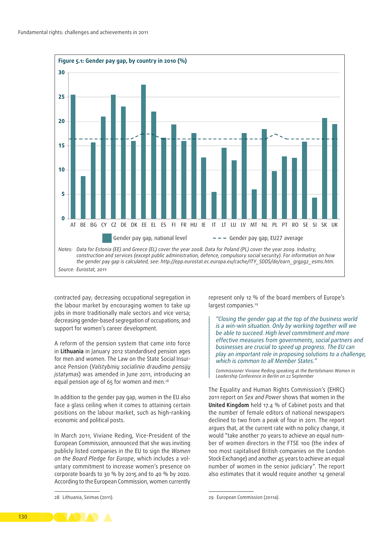

contracted pay; decreasing occupational segregation in the labour market by encouraging women to take up jobs in more traditionally male sectors and vice versa; decreasing gender‑based segregation of occupations; and support for women's career development.

A reform of the pension system that came into force in **Lithuania** in January 2012 standardised pension ages for men and women. The Law on the State Social Insurance Pension (*Valstybinių socialinio draudimo pensijų įstatymas*) was amended in June 2011, introducing an equal pension age of 65 for women and men.<sup>28</sup>

In addition to the gender pay gap, women in the EU also face a glass ceiling when it comes to attaining certain positions on the labour market, such as high-ranking economic and political posts.

In March 2011, Viviane Reding, Vice‑President of the European Commission, announced that she was inviting publicly listed companies in the EU to sign the *Women on the Board Pledge for Europe*, which includes a vol‑ untary commitment to increase women's presence on corporate boards to 30 % by 2015 and to 40 % by 2020. According to the European Commission, women currently

28 Lithuania, Seimas (2011).

represent only 12 % of the board members of Europe's largest companies.<sup>29</sup>

*"Closing the gender gap at the top of the business world is a win‑win situation. Only by working together will we be able to succeed. High level commitment and more effective measures from governments, social partners and businesses are crucial to speed up progress. The EU can play an important role in proposing solutions to a challenge, which is common to all Member States."*

*Commissioner Viviane Reding speaking at the Bertelsmann Women in Leadership Conference in Berlin on 22 September*

The Equality and Human Rights Commission's (EHRC) 2011 report on *Sex and Power* shows that women in the **United Kingdom** held 17.4 % of Cabinet posts and that the number of female editors of national newspapers declined to two from a peak of four in 2011. The report argues that, at the current rate with no policy change, it would "take another 70 years to achieve an equal number of women directors in the FTSE 100 (the index of 100 most capitalised British companies on the London Stock Exchange) and another 45 years to achieve an equal number of women in the senior judiciary". The report also estimates that it would require another 14 general



<sup>29</sup> European Commission (2011a).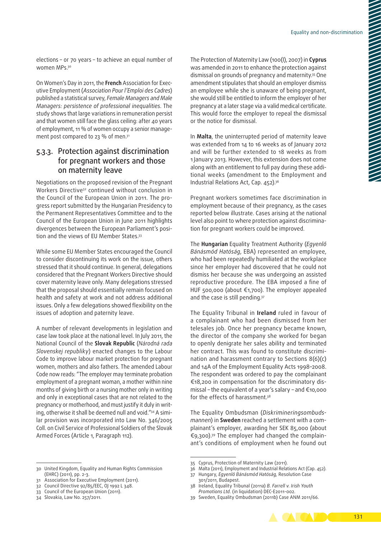elections – or 70 years – to achieve an equal number of women MPs.<sup>30</sup>

On Women's Day in 2011, the **French** Association for Exec‑ utive Employment (*Association Pour l'Emploi des Cadres*) published a statistical survey, *Female Managers and Male Managers: persistence of professional inequalities*. The study shows that large variations in remuneration persist and that women still face the glass ceiling: after 40 years of employment, 11 % of women occupy a senior management post compared to 23 % of men.<sup>31</sup>

## 5.3.3. Protection against discrimination for pregnant workers and those on maternity leave

Negotiations on the proposed revision of the Pregnant Workers Directive32 continued without conclusion in the Council of the European Union in 2011. The progress report submitted by the Hungarian Presidency to the Permanent Representatives Committee and to the Council of the European Union in June 2011 highlights divergences between the European Parliament's position and the views of EU Member States.33

While some EU Member States encouraged the Council to consider discontinuing its work on the issue, others stressed that it should continue. In general, delegations considered that the Pregnant Workers Directive should cover maternity leave only. Many delegations stressed that the proposal should essentially remain focused on health and safety at work and not address additional issues. Only a few delegations showed flexibility on the issues of adoption and paternity leave.

A number of relevant developments in legislation and case law took place at the national level. In July 2011, the National Council of the **Slovak Republic** (*Národná rada Slovenskej republiky*) enacted changes to the Labour Code to improve labour market protection for pregnant women, mothers and also fathers. The amended Labour Code now reads: "The employer may terminate probation employment of a pregnant woman, a mother within nine months of giving birth or a nursing mother only in writing and only in exceptional cases that are not related to the pregnancy or motherhood, and must justify it duly in writing, otherwise it shall be deemed null and void."<sup>34</sup> A similar provision was incorporated into Law No. 346/2005 Coll. on Civil Service of Professional Soldiers of the Slovak Armed Forces (Article 1, Paragraph 112).

The Protection of Maternity Law (100(I), 2007) in **Cyprus** was amended in 2011 to enhance the protection against dismissal on grounds of pregnancy and maternity.35 One amendment stipulates that should an employer dismiss an employee while she is unaware of being pregnant, she would still be entitled to inform the employer of her pregnancy at a later stage via a valid medical certificate. This would force the employer to repeal the dismissal or the notice for dismissal.

In **Malta**, the uninterrupted period of maternity leave was extended from 14 to 16 weeks as of January 2012 and will be further extended to 18 weeks as from 1 January 2013. However, this extension does not come along with an entitlement to full pay during these additional weeks (amendment to the Employment and Industrial Relations Act, Cap. 452).36

Pregnant workers sometimes face discrimination in employment because of their pregnancy, as the cases reported below illustrate. Cases arising at the national level also point to where protection against discrimination for pregnant workers could be improved.

The **Hungarian** Equality Treatment Authority (*Egyenlő Bánásmód Hatóság*, EBA) represented an employee, who had been repeatedly humiliated at the workplace since her employer had discovered that he could not dismiss her because she was undergoing an assisted reproductive procedure. The EBA imposed a fine of HUF 500,000 (about €1,700). The employer appealed and the case is still pending.<sup>37</sup>

The Equality Tribunal in **Ireland** ruled in favour of a complainant who had been dismissed from her telesales job. Once her pregnancy became known, the director of the company she worked for began to openly denigrate her sales ability and terminated her contract. This was found to constitute discrimination and harassment contrary to Sections 8(6)(c) and 14A of the Employment Equality Acts 1998–2008. The respondent was ordered to pay the complainant €18,200 in compensation for the discriminatory dis‑ missal – the equivalent of a year's salary – and €10,000 for the effects of harassment.38

The Equality Ombudsman (*Diskrimineringsombuds‑ mannen*) in **Sweden** reached a settlement with a com‑ plainant's employer, awarding her SEK 85,000 (about €9,300).39 The employer had changed the complain‑ ant's conditions of employment when he found out

<sup>39</sup> Sweden, Equality Ombudsman (2011b) Case ANM 2011/66.



<sup>30</sup> United Kingdom, Equality and Human Rights Commission (EHRC) (2011), pp. 2-3.

<sup>31</sup> Association for Executive Employment (2011).

<sup>32</sup> Council Directive 92/85/EEC, OJ 1992 L 348.

<sup>33</sup> Council of the European Union (2011).

<sup>34</sup> Slovakia, Law No. 257/2011.

<sup>35</sup> Cyprus, Protection of Maternity Law (2011).

<sup>36</sup> Malta (2011), Employment and Industrial Relations Act (Cap. 452).

<sup>37</sup> Hungary, *Egyenlő Bánásmód Hatóság,* Resolution Case 301/2011, Budapest.

<sup>38</sup> Ireland, Equality Tribunal (2011a) *B. Farrell v. Irish Youth Promotions Ltd.* (in liquidation) DEC‑E2011-002.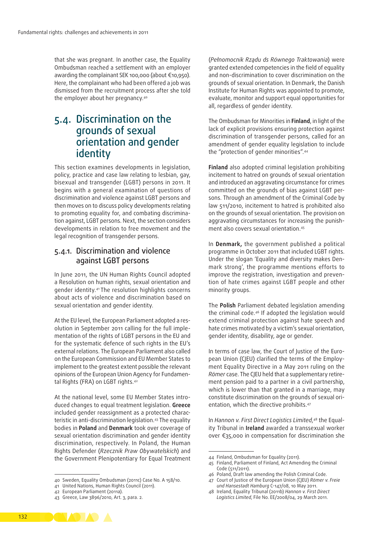that she was pregnant. In another case, the Equality Ombudsman reached a settlement with an employer awarding the complainant SEK 100,000 (about €10,950). Here, the complainant who had been offered a job was dismissed from the recruitment process after she told the employer about her pregnancy.40

## 5.4. Discrimination on the grounds of sexual orientation and gender identity

This section examines developments in legislation, policy, practice and case law relating to lesbian, gay, bisexual and transgender (LGBT) persons in 2011. It begins with a general examination of questions of discrimination and violence against LGBT persons and then moves on to discuss policy developments relating to promoting equality for, and combating discrimination against, LGBT persons. Next, the section considers developments in relation to free movement and the legal recognition of transgender persons.

## 5.4.1. Discrimination and violence against LGBT persons

In June 2011, the UN Human Rights Council adopted a Resolution on human rights, sexual orientation and gender identity.41 The resolution highlights concerns about acts of violence and discrimination based on sexual orientation and gender identity.

At the EU level, the European Parliament adopted a resolution in September 2011 calling for the full implementation of the rights of LGBT persons in the EU and for the systematic defence of such rights in the EU's external relations. The European Parliament also called on the European Commission and EU Member States to implement to the greatest extent possible the relevant opinions of the European Union Agency for Fundamental Rights (FRA) on LGBT rights.42

At the national level, some EU Member States introduced changes to equal treatment legislation. **Greece** included gender reassignment as a protected characteristic in anti-discrimination legislation.<sup>43</sup> The equality bodies in **Poland** and **Denmark** took over coverage of sexual orientation discrimination and gender identity discrimination, respectively. In Poland, the Human Rights Defender (*Rzecznik Praw Obywatelskich*) and the Government Plenipotentiary for Equal Treatment

(*Pełnomocnik Rządu ds Równego Traktowania*) were granted extended competencies in the field of equality and non‑discrimination to cover discrimination on the grounds of sexual orientation. In Denmark, the Danish Institute for Human Rights was appointed to promote, evaluate, monitor and support equal opportunities for all, regardless of gender identity.

The Ombudsman for Minorities in **Finland**, in light of the lack of explicit provisions ensuring protection against discrimination of transgender persons, called for an amendment of gender equality legislation to include the "protection of gender minorities".44

**Finland** also adopted criminal legislation prohibiting incitement to hatred on grounds of sexual orientation and introduced an aggravating circumstance for crimes committed on the grounds of bias against LGBT persons. Through an amendment of the Criminal Code by law 511/2010, incitement to hatred is prohibited also on the grounds of sexual orientation. The provision on aggravating circumstances for increasing the punishment also covers sexual orientation.45

In **Denmark,** the government published a political programme in October 2011 that included LGBT rights. Under the slogan 'Equality and diversity makes Denmark strong', the programme mentions efforts to improve the registration, investigation and prevention of hate crimes against LGBT people and other minority groups.

The **Polish** Parliament debated legislation amending the criminal code.46 If adopted the legislation would extend criminal protection against hate speech and hate crimes motivated by a victim's sexual orientation, gender identity, disability, age or gender.

In terms of case law, the Court of Justice of the European Union (CJEU) clarified the terms of the Employment Equality Directive in a May 2011 ruling on the *Römer* case. The CJEU held that a supplementary retire‑ ment pension paid to a partner in a civil partnership, which is lower than that granted in a marriage, may constitute discrimination on the grounds of sexual orientation, which the directive prohibits.<sup>47</sup>

In *Hannon v. First Direct Logistics Limited*, 48 the Equal‑ ity Tribunal in **Ireland** awarded a transsexual worker over €35,000 in compensation for discrimination she

- 45 Finland, Parliament of Finland, Act Amending the Criminal Code (511/2011).
- 46 Poland, Draft law amending the Polish Criminal Code.
- 47 Court of Justice of the European Union (CJEU) *Römer v. Freie und Hansestadt Hamburg* C-147/08, 10 May 2011.



<sup>40</sup> Sweden, Equality Ombudsman (2011c) Case No. A 158/10.

<sup>41</sup> United Nations, Human Rights Council (2011).

<sup>42</sup> European Parliament (2011a).

<sup>43</sup> Greece, Law 3896/2010, Art. 3, para. 2.

<sup>44</sup> Finland, Ombudsman for Equality (2011).

<sup>48</sup> Ireland, Equality Tribunal (2011b) *Hannon v. First Direct Logistics Limited*, File No. EE/2008/04, 29 March 2011.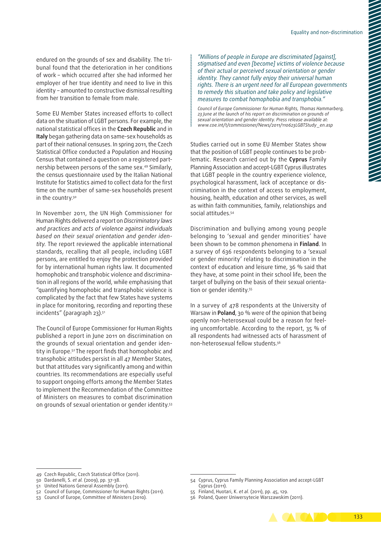endured on the grounds of sex and disability. The tribunal found that the deterioration in her conditions of work – which occurred after she had informed her employer of her true identity and need to live in this identity – amounted to constructive dismissal resulting from her transition to female from male.

Some EU Member States increased efforts to collect data on the situation of LGBT persons. For example, the national statistical offices in the **Czech Republic** and in **Italy** began gathering data on same‑sex households as part of their national censuses. In spring 2011, the Czech Statistical Office conducted a Population and Housing Census that contained a question on a registered partnership between persons of the same sex.49 Similarly, the census questionnaire used by the Italian National Institute for Statistics aimed to collect data for the first time on the number of same‑sex households present in the country.<sup>50</sup>

In November 2011, the UN High Commissioner for Human Rights delivered a report on *Discriminatory laws and practices and acts of violence against individuals based on their sexual orientation and gender iden‑ tity*. The report reviewed the applicable international standards, recalling that all people, including LGBT persons, are entitled to enjoy the protection provided for by international human rights law. It documented homophobic and transphobic violence and discrimination in all regions of the world, while emphasising that "quantifying homophobic and transphobic violence is complicated by the fact that few States have systems in place for monitoring, recording and reporting these incidents" (paragraph 23).<sup>51</sup>

The Council of Europe Commissioner for Human Rights published a report in June 2011 on discrimination on the grounds of sexual orientation and gender iden‑ tity in Europe.52 The report finds that homophobic and transphobic attitudes persist in all 47 Member States, but that attitudes vary significantly among and within countries. Its recommendations are especially useful to support ongoing efforts among the Member States to implement the Recommendation of the Committee of Ministers on measures to combat discrimination on grounds of sexual orientation or gender identity.53

*"Millions of people in Europe are discriminated [against], stigmatised and even [become] victims of violence because of their actual or perceived sexual orientation or gender identity. They cannot fully enjoy their universal human rights. There is an urgent need for all European governments to remedy this situation and take policy and legislative measures to combat homophobia and transphobia."*

*Council of Europe Commissioner for Human Rights, Thomas Hammarberg, 23 June at the launch of his report on discrimination on grounds of sexual orientation and gender identity. Press release available at: [www.coe.int/t/commissioner/News/2011/110623LGBTStudy \\_en.asp](http://www.coe.int/t/commissioner/News/2011/110623LGBTStudy_en.asp)*

Studies carried out in some EU Member States show that the position of LGBT people continues to be problematic. Research carried out by the **Cyprus** Family Planning Association and accept‑LGBT Cyprus illustrates that LGBT people in the country experience violence, psychological harassment, lack of acceptance or discrimination in the context of access to employment, housing, health, education and other services, as well as within faith communities, family, relationships and social attitudes.54

Discrimination and bullying among young people belonging to 'sexual and gender minorities' have been shown to be common phenomena in **Finland**. In a survey of 636 respondents belonging to a 'sexual or gender minority' relating to discrimination in the context of education and leisure time, 36 % said that they have, at some point in their school life, been the target of bullying on the basis of their sexual orientation or gender identity.<sup>55</sup>

In a survey of 478 respondents at the University of Warsaw in **Poland**, 30 % were of the opinion that being openly non-heterosexual could be a reason for feeling uncomfortable. According to the report, 35 % of all respondents had witnessed acts of harassment of non‑heterosexual fellow students.56

<sup>56</sup> Poland, Queer Uniwersytecie Warszawskim (2011).



<sup>49</sup> Czech Republic, Czech Statistical Office (2011).

<sup>50</sup> Dardanelli, S. *et al.* (2009), pp. 37-38.

<sup>51</sup> United Nations General Assembly (2011).

<sup>52</sup> Council of Europe, Commissioner for Human Rights (2011).

<sup>53</sup> Council of Europe, Committee of Ministers (2010).

<sup>54</sup> Cyprus, Cyprus Family Planning Association and accept-LGBT Cyprus (2011).

<sup>55</sup> Finland, Huotari, K. *et al.* (2011), pp. 45, 129.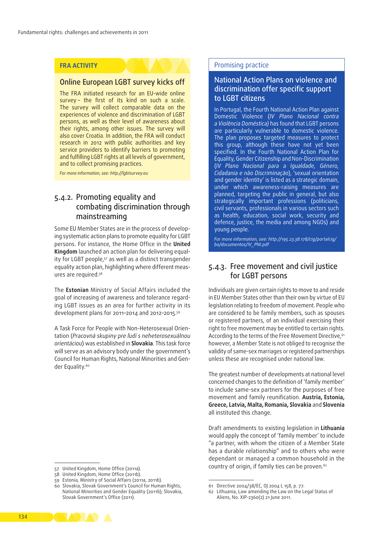### **FRA ACTIVITY**

## Online European LGBT survey kicks off

The FRA initiated research for an EU-wide online survey - the first of its kind on such a scale. The survey will collect comparable data on the experiences of violence and discrimination of LGBT persons, as well as their level of awareness about their rights, among other issues. The survey will also cover Croatia. In addition, the FRA will conduct research in 2012 with public authorities and key service providers to identify barriers to promoting and fulfilling LGBT rights at all levels of government, and to collect promising practices.

*For more information, see:<http://lgbtsurvey.eu>*

## 5.4.2. Promoting equality and combating discrimination through mainstreaming

Some EU Member States are in the process of developing systematic action plans to promote equality for LGBT persons. For instance, the Home Office in the **United Kingdom** launched an action plan for delivering equal‑ ity for LGBT people,<sup>57</sup> as well as a distinct transgender equality action plan, highlighting where different measures are required.58

The **Estonian** Ministry of Social Affairs included the goal of increasing of awareness and tolerance regarding LGBT issues as an area for further activity in its development plans for 2011–2014 and 2012–2015.59

A Task Force for People with Non-Heterosexual Orientation (*Pracovná skupiny pre ľudí s neheterosexuálnou orientáciou*) was established in **Slovakia**. This task force will serve as an advisory body under the government's Council for Human Rights, National Minorities and Gen‑ der Equality.<sup>60</sup>

#### Promising practice

## National Action Plans on violence and discrimination offer specific support to LGBT citizens

In Portugal, the Fourth National Action Plan against Domestic Violence (*IV Plano Nacional contra a Violência Doméstica)* has found that LGBT persons are particularly vulnerable to domestic violence. The plan proposes targeted measures to protect this group, although these have not yet been specified. In the Fourth National Action Plan for Equality, Gender Citizenship and Non‑Discrimination (*IV Plano Nacional para a Igualdade, Género, Cidadania e não Discriminação*), 'sexual orientation and gender identity' is listed as a strategic domain, under which awareness-raising measures are planned, targeting the public in general, but also strategically important professions (politicians, civil servants, professionals in various sectors such as health, education, social work, security and defence, justice, the media and among NGOs) and young people.

*For more information, see: [http://195.23.38.178/cig/portalcig/](http://195.23.38.178/cig/portalcig/bo/documentos/IV_PNI.pdf) [bo/documentos/IV\\_PNI.pdf](http://195.23.38.178/cig/portalcig/bo/documentos/IV_PNI.pdf)*

## 5.4.3. Free movement and civil justice for LGBT persons

Individuals are given certain rights to move to and reside in EU Member States other than their own by virtue of EU legislation relating to freedom of movement. People who are considered to be family members, such as spouses or registered partners, of an individual exercising their right to free movement may be entitled to certain rights. According to the terms of the Free Movement Directive,<sup>61</sup> however, a Member State is not obliged to recognise the validity of same‑sex marriages or registered partnerships unless these are recognised under national law.

The greatest number of developments at national level concerned changes to the definition of 'family member' to include same‑sex partners for the purposes of free movement and family reunification. **Austria, Estonia, Greece, Latvia, Malta, Romania, Slovakia** and **Slovenia**  all instituted this change.

Draft amendments to existing legislation in **Lithuania** would apply the concept of 'family member' to include "a partner, with whom the citizen of a Member State has a durable relationship" and to others who were dependant or managed a common household in the country of origin, if family ties can be proven.<sup>62</sup>



<sup>57</sup> United Kingdom, Home Office (2011a).

<sup>58</sup> United Kingdom, Home Office (2011b).

<sup>59</sup> Estonia, Ministry of Social Affairs (2011a, 2011b).

<sup>60</sup> Slovakia, Slovak Government's Council for Human Rights, National Minorities and Gender Equality (2011b); Slovakia, Slovak Government's Office (2011).

<sup>61</sup> Directive 2004/38/EC, OJ 2004 L 158, p. 77.

<sup>62</sup> Lithuania, Law amending the Law on the Legal Status of Aliens, No. XIP-2360(2) 21 June 2011.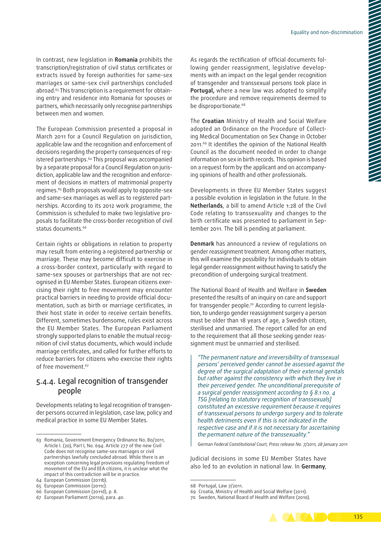In contrast, new legislation in **Romania** prohibits the transcription/registration of civil status certificates or extracts issued by foreign authorities for same-sex marriages or same‑sex civil partnerships concluded abroad.<sup>63</sup> This transcription is a requirement for obtaining entry and residence into Romania for spouses or partners, which necessarily only recognise partnerships between men and women.

The European Commission presented a proposal in March 2011 for a Council Regulation on jurisdiction, applicable law and the recognition and enforcement of decisions regarding the property consequences of reg‑ istered partnerships.<sup>64</sup> This proposal was accompanied by a separate proposal for a Council Regulation on jurisdiction, applicable law and the recognition and enforcement of decisions in matters of matrimonial property regimes.<sup>65</sup> Both proposals would apply to opposite-sex and same-sex marriages as well as to registered partnerships. According to its 2012 work programme, the Commission is scheduled to make two legislative proposals to facilitate the cross‑border recognition of civil status documents.<sup>66</sup>

Certain rights or obligations in relation to property may result from entering a registered partnership or marriage. These may become difficult to exercise in a cross‑border context, particularly with regard to same-sex spouses or partnerships that are not recognised in EU Member States. European citizens exercising their right to free movement may encounter practical barriers in needing to provide official documentation, such as birth or marriage certificates, in their host state in order to receive certain benefits. Different, sometimes burdensome, rules exist across the EU Member States. The European Parliament strongly supported plans to enable the mutual recognition of civil status documents, which would include marriage certificates, and called for further efforts to reduce barriers for citizens who exercise their rights of free movement.<sup>67</sup>

## 5.4.4. Legal recognition of transgender people

Developments relating to legal recognition of transgender persons occurred in legislation, case law, policy and medical practice in some EU Member States.

ments with an impact on the legal gender recognition of transgender and transsexual persons took place in **Portugal,** where a new law was adopted to simplify the procedure and remove requirements deemed to be disproportionate.<sup>68</sup>

The **Croatian** Ministry of Health and Social Welfare adopted an Ordinance on the Procedure of Collecting Medical Documentation on Sex Change in October 2011.69 It identifies the opinion of the National Health Council as the document needed in order to change information on sex in birth records. This opinion is based on a request form by the applicant and on accompanying opinions of health and other professionals.

Developments in three EU Member States suggest a possible evolution in legislation in the future. In the **Netherlands**, a bill to amend Article 1:28 of the Civil Code relating to transsexuality and changes to the birth certificate was presented to parliament in September 2011. The bill is pending at parliament.

**Denmark** has announced a review of regulations on gender reassignment treatment. Among other matters, this will examine the possibility for individuals to obtain legal gender reassignment without having to satisfy the precondition of undergoing surgical treatment.

The National Board of Health and Welfare in **Sweden**  presented the results of an inquiry on care and support for transgender people.<sup>70</sup> According to current legislation, to undergo gender reassignment surgery a person must be older than 18 years of age, a Swedish citizen, sterilised and unmarried. The report called for an end to the requirement that all those seeking gender reassignment must be unmarried and sterilised.

*"The permanent nature and irreversibility of transsexual persons' perceived gender cannot be assessed against the degree of the surgical adaptation of their external genitals but rather against the consistency with which they live in their perceived gender. The unconditional prerequisite of a surgical gender reassignment according to § 8.1 no. 4 TSG [relating to statutory recognition of transsexuals] constituted an excessive requirement because it requires of transsexual persons to undergo surgery and to tolerate health detriments even if this is not indicated in the respective case and if it is not necessary for ascertaining the permanent nature of the transsexuality."*

*German Federal Constitutional Court, Press release No. 7/2011, 28 January 2011*

Judicial decisions in some EU Member States have also led to an evolution in national law. In **Germany**,

į

<sup>70</sup> Sweden, National Board of Health and Welfare (2010).



<sup>63</sup> Romania, Government Emergency Ordinance No. 80/2011, Article I. (20), Part I, No. 694. Article 277 of the new Civil Code does not recognise same‑sex marriages or civil partnerships lawfully concluded abroad. While there is an exception concerning legal provisions regulating freedom of movement of the EU and EEA citizens, it is unclear what the impact of this contradiction will be in practice.

<sup>64</sup> European Commission (2011b).

<sup>65</sup> European Commission (2011c).

<sup>66</sup> European Commission (2011d), p. 8.

<sup>67</sup> European Parliament (2011a), para. 40.

<sup>68</sup> Portugal, Law 7/2011.

<sup>69</sup> Croatia, Ministry of Health and Social Welfare (2011).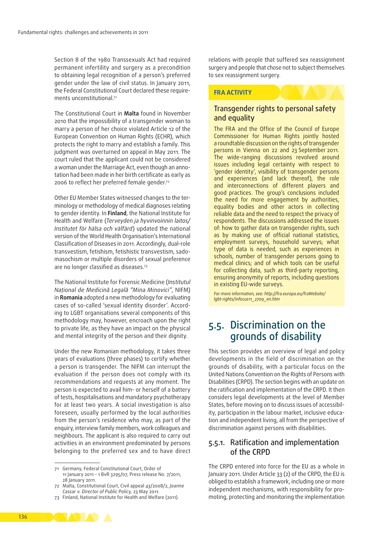Section 8 of the 1980 Transsexuals Act had required permanent infertility and surgery as a precondition to obtaining legal recognition of a person's preferred gender under the law of civil status. In January 2011, the Federal Constitutional Court declared these requirements unconstitutional.<sup>71</sup>

The Constitutional Court in **Malta** found in November 2010 that the impossibility of a transgender woman to marry a person of her choice violated Article 12 of the European Convention on Human Rights (ECHR), which protects the right to marry and establish a family. This judgment was overturned on appeal in May 2011. The court ruled that the applicant could not be considered a woman under the Marriage Act, even though an annotation had been made in her birth certificate as early as 2006 to reflect her preferred female gender.72

Other EU Member States witnessed changes to the terminology or methodology of medical diagnoses relating to gender identity. In **Finland**, the National Institute for Health and Welfare (*Terveyden ja hyvinvoinnin laitos/ Institutet för hälsa och välfärd*) updated the national version of the World Health Organisation's International Classification of Diseases in 2011. Accordingly, dual‑role transvestism, fetishism, fetishistic transvestism, sado‑ masochism or multiple disorders of sexual preference are no longer classified as diseases.73

The National Institute for Forensic Medicine (*Institutul Naţional de Medicină Legală "Mina Minovici"*, NIFM) in **Romania** adopted a new methodology for evaluating cases of so-called 'sexual identity disorder'. According to LGBT organisations several components of this methodology may, however, encroach upon the right to private life, as they have an impact on the physical and mental integrity of the person and their dignity.

Under the new Romanian methodology, it takes three years of evaluations (three phases) to certify whether a person is transgender. The NIFM can interrupt the evaluation if the person does not comply with its recommendations and requests at any moment. The person is expected to avail him- or herself of a battery of tests, hospitalisations and mandatory psychotherapy for at least two years. A social investigation is also foreseen, usually performed by the local authorities from the person's residence who may, as part of the enquiry, interview family members, work colleagues and neighbours. The applicant is also required to carry out activities in an environment predominated by persons belonging to the preferred sex and to have direct

relations with people that suffered sex reassignment surgery and people that chose not to subject themselves to sex reassignment surgery.

#### **FRA ACTIVITY**

## Transgender rights to personal safety and equality

The FRA and the Office of the Council of Europe Commissioner for Human Rights jointly hosted a roundtable discussion on the rights of transgender persons in Vienna on 22 and 23 September 2011. The wide-ranging discussions revolved around issues including legal certainty with respect to 'gender identity', visibility of transgender persons and experiences (and lack thereof), the role and interconnections of different players and good practices. The group's conclusions included the need for more engagement by authorities, equality bodies and other actors in collecting reliable data and the need to respect the privacy of respondents. The discussions addressed the issues of: how to gather data on transgender rights, such as by making use of official national statistics, employment surveys, household surveys; what type of data is needed, such as experiences in schools, number of transgender persons going to medical clinics; and of which tools can be useful for collecting data, such as third-party reporting, ensuring anonymity of reports, including questions in existing EU‑wide surveys.

*For more information, see: [http://fra.europa.eu/fraWebsite/](http://fra.europa.eu/fraWebsite/lgbt-rights/infocus11_2709_en.htm) [lgbt‑rights/infocus11\\_2709\\_en.htm](http://fra.europa.eu/fraWebsite/lgbt-rights/infocus11_2709_en.htm)*

## 5.5. Discrimination on the grounds of disability

This section provides an overview of legal and policy developments in the field of discrimination on the grounds of disability, with a particular focus on the United Nations Convention on the Rights of Persons with Disabilities (CRPD). The section begins with an update on the ratification and implementation of the CRPD. It then considers legal developments at the level of Member States, before moving on to discuss issues of accessibility, participation in the labour market, inclusive education and independent living, all from the perspective of discrimination against persons with disabilities.

## 5.5.1. Ratification and implementation of the CRPD

The CRPD entered into force for the EU as a whole in January 2011. Under Article 33 (2) of the CRPD, the EU is obliged to establish a framework, including one or more independent mechanisms, with responsibility for promoting, protecting and monitoring the implementation



<sup>71</sup> Germany, Federal Constitutional Court, Order of 11 January 2011 – 1 BvR 3295/07, Press release No. 7/2011, 28 January 2011.

<sup>72</sup> Malta, Constitutional Court, Civil appeal 43/2008/2, *Joanne Cassar v. Director of Public Policy,* 23 May 2011.

<sup>73</sup> Finland, National Institute for Health and Welfare (2011).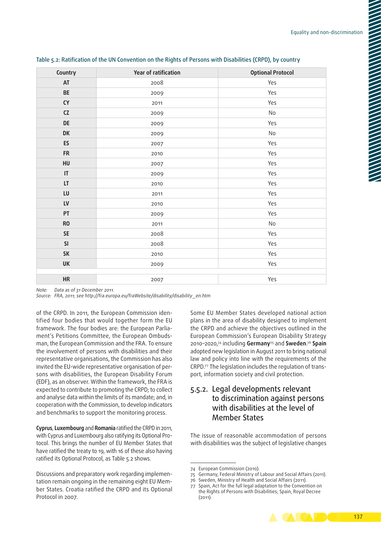| Country                | Year of ratification | <b>Optional Protocol</b> |
|------------------------|----------------------|--------------------------|
| AT                     | 2008                 | Yes                      |
| BE                     | 2009                 | Yes                      |
| ${\sf CY}$             | 2011                 | Yes                      |
| ${\sf CZ}$             | 2009                 | No                       |
| <b>DE</b>              | 2009                 | Yes                      |
| <b>DK</b>              | 2009                 | No                       |
| ES                     | 2007                 | Yes                      |
| <b>FR</b>              | 2010                 | Yes                      |
| HU                     | 2007                 | Yes                      |
| $\mathsf{I}\mathsf{T}$ | 2009                 | Yes                      |
| LT                     | 2010                 | Yes                      |
| ${\sf LU}$             | 2011                 | Yes                      |
| ${\sf L}{\sf V}$       | 2010                 | Yes                      |
| PT                     | 2009                 | Yes                      |
| <b>RO</b>              | 2011                 | No                       |
| SE                     | 2008                 | Yes                      |
| SI                     | 2008                 | Yes                      |
| SK                     | 2010                 | Yes                      |
| <b>UK</b>              | 2009                 | Yes                      |
|                        |                      |                          |
| HR                     | 2007                 | Yes                      |

#### Table 5.2: Ratification of the UN Convention on the Rights of Persons with Disabilities (CRPD), by country

*Note: Data as of 31 December 2011.*

*Source: FRA, 2011; see [http://fra.europa.eu/fraWebsite/disability/disability \\_en.htm](http://fra.europa.eu/fraWebsite/disability/disability_en.htm)*

of the CRPD. In 2011, the European Commission identified four bodies that would together form the EU framework. The four bodies are: the European Parliament's Petitions Committee, the European Ombudsman, the European Commission and the FRA. To ensure the involvement of persons with disabilities and their representative organisations, the Commission has also invited the EU-wide representative organisation of persons with disabilities, the European Disability Forum (EDF), as an observer. Within the framework, the FRA is expected to contribute to promoting the CRPD; to collect and analyse data within the limits of its mandate; and, in cooperation with the Commission, to develop indicators and benchmarks to support the monitoring process.

**Cyprus**, **Luxembourg** and **Romania** ratified the CRPD in 2011, with Cyprus and Luxembourg also ratifying its Optional Protocol. This brings the number of EU Member States that have ratified the treaty to 19, with 16 of these also having ratified its Optional Protocol, as Table 5.2 shows.

Discussions and preparatory work regarding implementation remain ongoing in the remaining eight EU Member States. Croatia ratified the CRPD and its Optional Protocol in 2007.

Some EU Member States developed national action plans in the area of disability designed to implement the CRPD and achieve the objectives outlined in the European Commission's European Disability Strategy 2010–2020,74 including **Germany**75 and **Sweden**. <sup>76</sup> **Spain** adopted new legislation in August 2011 to bring national law and policy into line with the requirements of the CRPD.77 The legislation includes the regulation of trans‑ port, information society and civil protection.

## 5.5.2. Legal developments relevant to discrimination against persons with disabilities at the level of Member States

The issue of reasonable accommodation of persons with disabilities was the subject of legislative changes

<sup>77</sup> Spain, Act for the full legal adaptation to the Convention on the Rights of Persons with Disabilities; Spain, Royal Decree (2011).



<sup>74</sup> European Commission (2010).

<sup>75</sup> Germany, Federal Ministry of Labour and Social Affairs (2011).

<sup>76</sup> Sweden, Ministry of Health and Social Affairs (2011).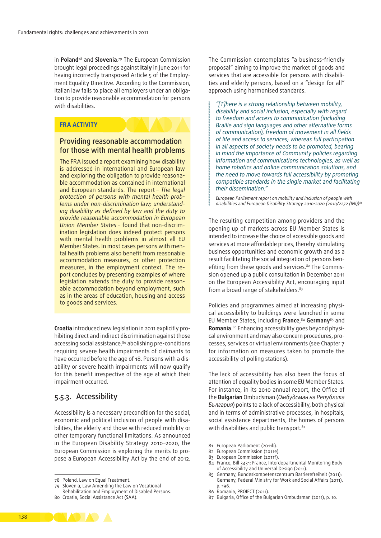in **Poland**78 and **Slovenia**. 79 The European Commission brought legal proceedings against **Italy** in June 2011 for having incorrectly transposed Article 5 of the Employment Equality Directive. According to the Commission, Italian law fails to place all employers under an obligation to provide reasonable accommodation for persons with disabilities.

#### **FRA ACTIVITY**

## Providing reasonable accommodation for those with mental health problems

The FRA issued a report examining how disability is addressed in international and European law and exploring the obligation to provide reasonable accommodation as contained in international and European standards. The report – *The legal protection of persons with mental health prob‑ lems under non‑discrimination law; understand‑ ing disability as defined by law and the duty to provide reasonable accommodation in European Union Member States –* found that non‑discrim‑ ination legislation does indeed protect persons with mental health problems in almost all EU Member States. In most cases persons with mental health problems also benefit from reasonable accommodation measures, or other protection measures, in the employment context. The report concludes by presenting examples of where legislation extends the duty to provide reasonable accommodation beyond employment, such as in the areas of education, housing and access to goods and services.

**Croatia** introduced new legislation in 2011 explicitly pro‑ hibiting direct and indirect discrimination against those accessing social assistance,<sup>80</sup> abolishing pre-conditions requiring severe health impairments of claimants to have occurred before the age of 18. Persons with a disability or severe health impairments will now qualify for this benefit irrespective of the age at which their impairment occurred.

## 5.5.3. Accessibility

Accessibility is a necessary precondition for the social, economic and political inclusion of people with disabilities, the elderly and those with reduced mobility or other temporary functional limitations. As announced in the European Disability Strategy 2010–2020, the European Commission is exploring the merits to propose a European Accessibility Act by the end of 2012.

The Commission contemplates "a business-friendly proposal" aiming to improve the market of goods and services that are accessible for persons with disabilities and elderly persons, based on a "design for all" approach using harmonised standards.

*"[T]here is a strong relationship between mobility, disability and social inclusion, especially with regard to freedom and access to communication (including Braille and sign languages and other alternative forms of communication), freedom of movement in all fields of life and access to services; whereas full participation in all aspects of society needs to be promoted, bearing in mind the importance of Community policies regarding information and communications technologies, as well as home robotics and online communication solutions, and the need to move towards full accessibility by promoting compatible standards in the single market and facilitating their dissemination."*

*European Parliament report on mobility and inclusion of people with disabilities and European Disability Strategy 2010-2020 (2010/2272 (INI))81*

The resulting competition among providers and the opening up of markets across EU Member States is intended to increase the choice of accessible goods and services at more affordable prices, thereby stimulating business opportunities and economic growth and as a result facilitating the social integration of persons ben‑ efiting from these goods and services.<sup>82</sup> The Commission opened up a public consultation in December 2011 on the European Accessibility Act, encouraging input from a broad range of stakeholders.<sup>83</sup>

Policies and programmes aimed at increasing physical accessibility to buildings were launched in some EU Member States, including **France**, <sup>84</sup> **Germany**85 and **Romania**.<sup>86</sup> Enhancing accessibility goes beyond physical environment and may also concern procedures, processes, services or virtual environments (see Chapter 7 for information on measures taken to promote the accessibility of polling stations).

The lack of accessibility has also been the focus of attention of equality bodies in some EU Member States. For instance, in its 2010 annual report, the Office of the **Bulgarian** Ombudsman (*Омбудсман на Република България*) points to a lack of accessibility, both physical and in terms of administrative processes, in hospitals, social assistance departments, the homes of persons with disabilities and public transport.<sup>87</sup>

87 Bulgaria, Office of the Bulgarian Ombudsman (2011), p. 10.



<sup>78</sup> Poland, Law on Equal Treatment.

<sup>79</sup> Slovenia, Law Amending the Law on Vocational

Rehabilitation and Employment of Disabled Persons.

<sup>80</sup> Croatia, Social Assistance Act (SAA).

<sup>81</sup> European Parliament (2011b).

<sup>82</sup> European Commission (2011e).

<sup>83</sup> European Commission (2011f).

<sup>84</sup> France, Bill 3431; France, Interdepartmental Monitoring Body of Accessibility and Universal Design (2011).

<sup>85</sup> Germany, Bundeskompetenzzentrum Barrierefreiheit (2011); Germany, Federal Ministry for Work and Social Affairs (2011), p. 196.

<sup>86</sup> Romania, PROIECT (2011).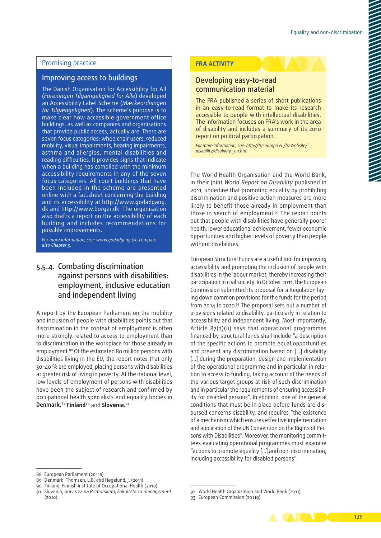## Promising practice

## Improving access to buildings

The Danish Organisation for Accessibility for All (*Foreningen Tilgængelighed for Alle*) developed an Accessibility Label Scheme (*Mærkeordningen for Tilgængelighed*). The scheme's purpose is to make clear how accessible government office buildings, as well as companies and organisations that provide public access, actually are. There are seven focus categories: wheelchair users, reduced mobility, visual impairments, hearing impairments, asthma and allergies, mental disabilities and reading difficulties. It provides signs that indicate when a building has complied with the minimum accessibility requirements in any of the seven focus categories. All court buildings that have been included in the scheme are presented online with a factsheet concerning the building and its accessibility at [http://www.godadgang.](http://www.godadgang.dk/) [dk](http://www.godadgang.dk/) and [http://www.borger.dk.](http://www.borger.dk) The organisation also drafts a report on the accessibility of each building and includes recommendations for possible improvements.

*For more information, see: [www.godadgang.dk,](http://www.godadgang.dk) compare also Chapter 5.*

## 5.5.4. Combating discrimination against persons with disabilities: employment, inclusive education and independent living

A report by the European Parliament on the mobility and inclusion of people with disabilities points out that discrimination in the context of employment is often more strongly related to access to employment than to discrimination in the workplace for those already in employment.88 Of the estimated 80 million persons with disabilities living in the EU, the report notes that only 30–40 % are employed, placing persons with disabilities at greater risk of living in poverty. At the national level, low levels of employment of persons with disabilities have been the subject of research and confirmed by occupational health specialists and equality bodies in **Denmark,**<sup>89</sup> **Finland**90 and **Slovenia.**<sup>91</sup>

#### **FRA ACTIVITY**

## Developing easy‑to‑read communication material

The FRA published a series of short publications in an easy-to-read format to make its research accessible to people with intellectual disabilities. The information focuses on FRA's work in the area of disability and includes a summary of its 2010 report on political participation.

*For more information, see: [http://fra.europa.eu/fraWebsite/](http://fra.europa.eu/fraWebsite/disability/disability_en.htm) [disability/disability\\_en.htm](http://fra.europa.eu/fraWebsite/disability/disability_en.htm)*

The World Health Organisation and the World Bank, in their joint *World Report on Disability* published in 2011, underline that promoting equality by prohibiting discrimination and positive action measures are more likely to benefit those already in employment than those in search of employment.92 The report points out that people with disabilities have generally poorer health, lower educational achievement, fewer economic opportunities and higher levels of poverty than people without disabilities.

European Structural Funds are a useful tool for improving accessibility and promoting the inclusion of people with disabilities in the labour market, thereby increasing their participation in civil society. In October 2011, the European Commission submitted its proposal for a Regulation laying down common provisions for the funds for the period from 2014 to 2020.93 The proposal sets out a number of provisions related to disability, particularly in relation to accessibility and independent living. Most importantly, Article 87(3)(ii) says that operational programmes financed by structural funds shall include "a description of the specific actions to promote equal opportunities and prevent any discrimination based on […] disability [...] during the preparation, design and implementation of the operational programme and in particular in relation to access to funding, taking account of the needs of the various target groups at risk of such discrimination and in particular the requirements of ensuring accessibility for disabled persons". In addition, one of the general conditions that must be in place before funds are disbursed concerns disability, and requires "the existence of a mechanism which ensures effective implementation and application of the UN Convention on the Rights of Per‑ sons with Disabilities". Moreover, the monitoring committees evaluating operational programmes must examine "actions to promote equality […] and non‑discrimination, including accessibility for disabled persons".

<sup>93</sup> European Commission (2011g).



<sup>88</sup> European Parliament (2011a).

<sup>89</sup> Denmark, Thomsen, L.B. and Høgelund, J. (2011).

<sup>90</sup> Finland, Finnish Institute of Occupational Health (2010).

<sup>91</sup> Slovenia, *Univerza na Primorskem*, *Fakulteta za management*  (2010).

<sup>92</sup> World Health Organization and World Bank (2011).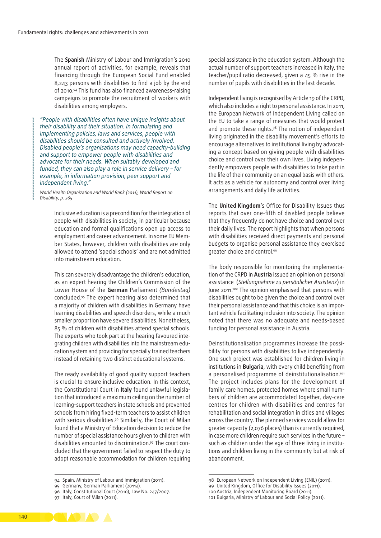The **Spanish** Ministry of Labour and Immigration's 2010 annual report of activities, for example, reveals that financing through the European Social Fund enabled 8,243 persons with disabilities to find a job by the end of 2010.<sup>94</sup> This fund has also financed awareness-raising campaigns to promote the recruitment of workers with disabilities among employers.

*"People with disabilities often have unique insights about their disability and their situation. In formulating and implementing policies, laws and services, people with disabilities should be consulted and actively involved. Disabled people's organisations may need capacity‑building and support to empower people with disabilities and advocate for their needs. When suitably developed and funded, they can also play a role in service delivery – for example, in information provision, peer support and independent living."*

*World Health Organization and World Bank (2011), World Report on Disability, p. 265*

> Inclusive education is a precondition for the integration of people with disabilities in society, in particular because education and formal qualifications open up access to employment and career advancement. In some EU Member States, however, children with disabilities are only allowed to attend 'special schools' and are not admitted into mainstream education.

> This can severely disadvantage the children's education, as an expert hearing the Children's Commission of the Lower House of the **German** Parliament *(Bundestag)* concluded.95 The expert hearing also determined that a majority of children with disabilities in Germany have learning disabilities and speech disorders, while a much smaller proportion have severe disabilities. Nonetheless, 85 % of children with disabilities attend special schools. The experts who took part at the hearing favoured integrating children with disabilities into the mainstream edu‑ cation system and providing for specially trained teachers instead of retaining two distinct educational systems.

> The ready availability of good quality support teachers is crucial to ensure inclusive education. In this context, the Constitutional Court in **Italy** found unlawful legisla‑ tion that introduced a maximum ceiling on the number of learning‑support teachers in state schools and prevented schools from hiring fixed-term teachers to assist children with serious disabilities.<sup>96</sup> Similarly, the Court of Milan found that a Ministry of Education decision to reduce the number of special assistance hours given to children with disabilities amounted to discrimination.<sup>97</sup> The court concluded that the government failed to respect the duty to adopt reasonable accommodation for children requiring

special assistance in the education system. Although the actual number of support teachers increased in Italy, the teacher/pupil ratio decreased, given a 45 % rise in the number of pupils with disabilities in the last decade.

Independent living is recognised by Article 19 of the CRPD, which also includes a right to personal assistance. In 2011, the European Network of Independent Living called on the EU to take a range of measures that would protect and promote these rights.<sup>98</sup> The notion of independent living originated in the disability movement's efforts to encourage alternatives to institutional living by advocating a concept based on giving people with disabilities choice and control over their own lives. Living independently empowers people with disabilities to take part in the life of their community on an equal basis with others. It acts as a vehicle for autonomy and control over living arrangements and daily life activities.

The **United Kingdom**'s Office for Disability Issues thus reports that over one-fifth of disabled people believe that they frequently do not have choice and control over their daily lives. The report highlights that when persons with disabilities received direct payments and personal budgets to organise personal assistance they exercised greater choice and control.99

The body responsible for monitoring the implementation of the CRPD in **Austria** issued an opinion on personal assistance (*Stellungnahme zu persönlicher Assistenz*) in June 2011.<sup>100</sup> The opinion emphasised that persons with disabilities ought to be given the choice and control over their personal assistance and that this choice is an important vehicle facilitating inclusion into society. The opinion noted that there was no adequate and needs‑based funding for personal assistance in Austria.

Deinstitutionalisation programmes increase the possibility for persons with disabilities to live independently. One such project was established for children living in institutions in **Bulgaria**, with every child benefiting from a personalised programme of deinstitutionalisation.101 The project includes plans for the development of family care homes, protected homes where small numbers of children are accommodated together, day-care centres for children with disabilities and centres for rehabilitation and social integration in cities and villages across the country. The planned services would allow for greater capacity (2,076 places) than is currently required, in case more children require such services in the future – such as children under the age of three living in institutions and children living in the community but at risk of abandonment.



<sup>94</sup> Spain, Ministry of Labour and Immigration (2011).

<sup>95</sup> Germany, German Parliament (2011a).

<sup>96</sup> Italy, Constitutional Court (2010), Law No. 247/2007.

<sup>97</sup> Italy, Court of Milan (2011).

<sup>98</sup> European Network on Independent Living (ENIL) (2011).

<sup>99</sup> United Kingdom, Office for Disability Issues (2011).

<sup>100</sup>Austria, Independent Monitoring Board (2011).

<sup>101</sup> Bulgaria, Ministry of Labour and Social Policy (2011).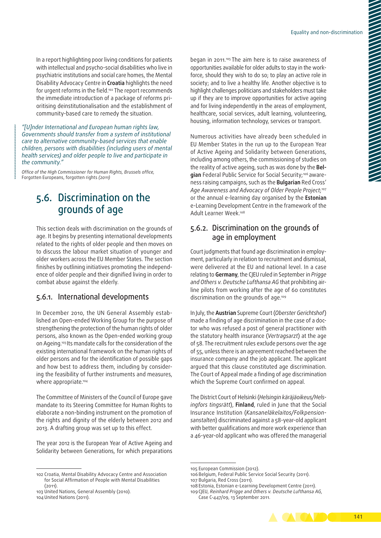In a report highlighting poor living conditions for patients with intellectual and psycho-social disabilities who live in psychiatric institutions and social care homes, the Mental Disability Advocacy Centre in **Croatia** highlights the need for urgent reforms in the field.102 The report recommends the immediate introduction of a package of reforms prioritising deinstitutionalisation and the establishment of community-based care to remedy the situation.

*"[U]nder International and European human rights law, Governments should transfer from a system of institutional care to alternative community‑based services that enable children, persons with disabilities (including users of mental health services) and older people to live and participate in the community."*

*Office of the High Commissioner for Human Rights, Brussels office,*  Forgotten Europeans, forgotten rights *(2011)*

## 5.6. Discrimination on the grounds of age

This section deals with discrimination on the grounds of age. It begins by presenting international developments related to the rights of older people and then moves on to discuss the labour market situation of younger and older workers across the EU Member States. The section finishes by outlining initiatives promoting the independence of older people and their dignified living in order to combat abuse against the elderly.

## 5.6.1. International developments

In December 2010, the UN General Assembly established an Open‑ended Working Group for the purpose of strengthening the protection of the human rights of older persons, also known as the Open‑ended working group on Ageing.103 Its mandate calls for the consideration of the existing international framework on the human rights of older persons and for the identification of possible gaps and how best to address them, including by considering the feasibility of further instruments and measures, where appropriate.<sup>104</sup>

The Committee of Ministers of the Council of Europe gave mandate to its Steering Committee for Human Rights to elaborate a non-binding instrument on the promotion of the rights and dignity of the elderly between 2012 and 2013. A drafting group was set up to this effect.

The year 2012 is the European Year of Active Ageing and Solidarity between Generations, for which preparations

102 Croatia, Mental Disability Advocacy Centre and Association for Social Affirmation of People with Mental Disabilities (2011).

began in 2011.<sup>105</sup> The aim here is to raise awareness of opportunities available for older adults to stay in the workforce, should they wish to do so; to play an active role in society; and to live a healthy life. Another objective is to highlight challenges politicians and stakeholders must take up if they are to improve opportunities for active ageing and for living independently in the areas of employment, healthcare, social services, adult learning, volunteering, housing, information technology, services or transport.

Numerous activities have already been scheduled in EU Member States in the run up to the European Year of Active Ageing and Solidarity between Generations, including among others, the commissioning of studies on the reality of active ageing, such as was done by the **Bel‑** gian Federal Public Service for Social Security;<sup>106</sup> awareness raising campaigns, such as the **Bulgarian** Red Cross' *Age Awareness and Advocacy of Older People Project*; 107 or the annual e‑learning day organised by the **Estonian**  e‑Learning Development Centre in the framework of the Adult Learner Week.108

## 5.6.2. Discrimination on the grounds of age in employment

Court judgments that found age discrimination in employment, particularly in relation to recruitment and dismissal, were delivered at the EU and national level. In a case relating to **Germany**, the CJEU ruled in September in *Prigge*  and Others v. Deutsche Lufthansa AG that prohibiting airline pilots from working after the age of 60 constitutes discrimination on the grounds of age.<sup>109</sup>

In July, the **Austrian** Supreme Court (*Oberster Gerichtshof*) made a finding of age discrimination in the case of a doctor who was refused a post of general practitioner with the statutory health insurance (*Vertragsarzt*) at the age of 58. The recruitment rules exclude persons over the age of 55, unless there is an agreement reached between the insurance company and the job applicant. The applicant argued that this clause constituted age discrimination. The Court of Appeal made a finding of age discrimination which the Supreme Court confirmed on appeal.

The District Court of Helsinki (*Helsingin käräjäoikeus/Hels‑ ingfors tingsrätt*), **Finland**, ruled in June that the Social Insurance Institution (*Kansaneläkelaitos/Folkpension‑ sanstalten*) discriminated against a 58-year‑old applicant with better qualifications and more work experience than a 46-year‑old applicant who was offered the managerial

141

<sup>103</sup> United Nations, General Assembly (2010).

<sup>104</sup> United Nations (2011).

<sup>105</sup> European Commission (2012).

<sup>106</sup> Belgium, Federal Public Service Social Security (2011).

<sup>107</sup> Bulgaria, Red Cross (2011).

<sup>108</sup> Estonia, Estonian e‑Learning Development Centre (2011). 109 CJEU, *Reinhard Prigge and Others v. Deutsche Lufthansa AG*,

Case C-447/09, 13 September 2011.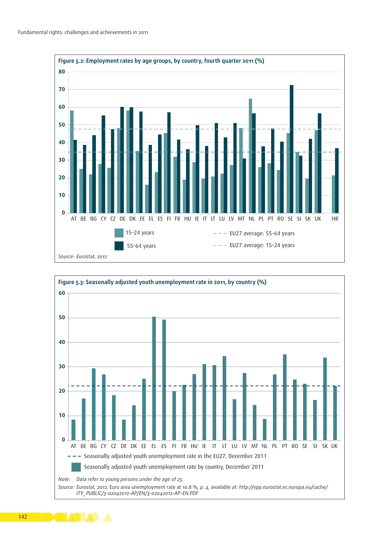

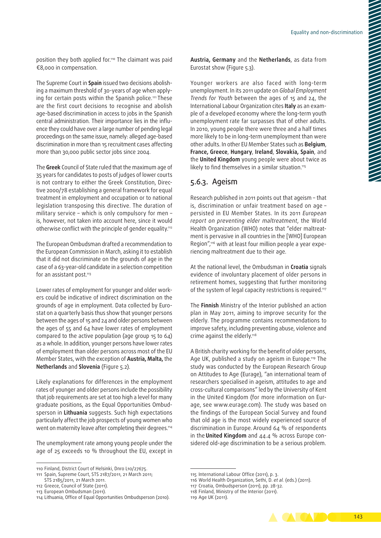position they both applied for.110 The claimant was paid €8,000 in compensation.

The Supreme Court in **Spain** issued two decisions abolish‑ ing a maximum threshold of 30-years of age when applying for certain posts within the Spanish police.111 These are the first court decisions to recognise and abolish age-based discrimination in access to jobs in the Spanish central administration. Their importance lies in the influence they could have over a large number of pending legal proceedings on the same issue, namely: alleged age‑based discrimination in more than 15 recruitment cases affecting more than 30,000 public sector jobs since 2004.

The **Greek** Council of State ruled that the maximum age of 35 years for candidates to posts of judges of lower courts is not contrary to either the Greek Constitution, Directive 2000/78 establishing a general framework for equal treatment in employment and occupation or to national legislation transposing this directive. The duration of military service – which is only compulsory for men – is, however, not taken into account here, since it would otherwise conflict with the principle of gender equality.112

The European Ombudsman drafted a recommendation to the European Commission in March, asking it to establish that it did not discriminate on the grounds of age in the case of a 63-year‑old candidate in a selection competition for an assistant post.<sup>113</sup>

Lower rates of employment for younger and older workers could be indicative of indirect discrimination on the grounds of age in employment. Data collected by Eurostat on a quarterly basis thus show that younger persons between the ages of 15 and 24 and older persons between the ages of 55 and 64 have lower rates of employment compared to the active population (age group 15 to 64) as a whole. In addition, younger persons have lower rates of employment than older persons across most of the EU Member States, with the exception of **Austria, Malta,** the **Netherlands** and **Slovenia** (Figure 5.2).

Likely explanations for differences in the employment rates of younger and older persons include the possibility that job requirements are set at too high a level for many graduate positions, as the Equal Opportunities Ombudsperson in **Lithuania** suggests. Such high expectations particularly affect the job prospects of young women who went on maternity leave after completing their degrees.114

The unemployment rate among young people under the age of 25 exceeds 10 % throughout the EU, except in **Austria, Germany** and the **Netherlands**, as data from Eurostat show (Figure 5.3).

Younger workers are also faced with long-term unemployment. In its 2011 update on *Global Employment Trends for Youth* between the ages of 15 and 24, the International Labour Organization cites **Italy** as an exam‑ ple of a developed economy where the long-term youth unemployment rate far surpasses that of other adults. In 2010, young people there were three and a half times more likely to be in long‑term unemployment than were other adults. In other EU Member States such as **Belgium**, **France, Greece**, **Hungary**, **Ireland**, **Slovakia, Spain**, and the **United Kingdom** young people were about twice as likely to find themselves in a similar situation.115

## 5.6.3. Ageism

Research published in 2011 points out that ageism – that is, discrimination or unfair treatment based on age – persisted in EU Member States. In its 2011 *European report on preventing elder maltreatment*, the World Health Organization (WHO) notes that "elder maltreatment is pervasive in all countries in the [WHO] European Region",<sup>116</sup> with at least four million people a year experiencing maltreatment due to their age.

At the national level, the Ombudsman in **Croatia** signals evidence of involuntary placement of older persons in retirement homes, suggesting that further monitoring of the system of legal capacity restrictions is required.117

The **Finnish** Ministry of the Interior published an action plan in May 2011, aiming to improve security for the elderly. The programme contains recommendations to improve safety, including preventing abuse, violence and crime against the elderly.<sup>118</sup>

A British charity working for the benefit of older persons, Age UK, published a study on ageism in Europe.<sup>119</sup> The study was conducted by the European Research Group on Attitudes to Age (Eurage), "an international team of researchers specialised in ageism, attitudes to age and cross‑cultural comparisons" led by the University of Kent in the United Kingdom (for more information on Eurage, see [www.eurage.com](http://www.eurage.com)). The study was based on the findings of the European Social Survey and found that old age is the most widely experienced source of discrimination in Europe. Around 64 % of respondents in the **United Kingdom** and 44.4 % across Europe considered old-age discrimination to be a serious problem.



<sup>110</sup> Finland, District Court of Helsinki, Dnro L10/27675.

<sup>111</sup> Spain, Supreme Court, STS 2187/2011, 21 March 2011; STS 2185/2011, 21 March 2011.

<sup>112</sup> Greece, Council of State (2011).

<sup>113</sup> European Ombudsman (2011).

<sup>114</sup> Lithuania, Office of Equal Opportunities Ombudsperson (2010).

<sup>115</sup> International Labour Office (2011), p. 3.

<sup>116</sup> World Health Organization, Sethi, D. *et al.* (eds.) (2011).

<sup>117</sup> Croatia, Ombudsperson (2011), pp. 28-32.

<sup>118</sup> Finland, Ministry of the Interior (2011).

<sup>119</sup> Age UK (2011).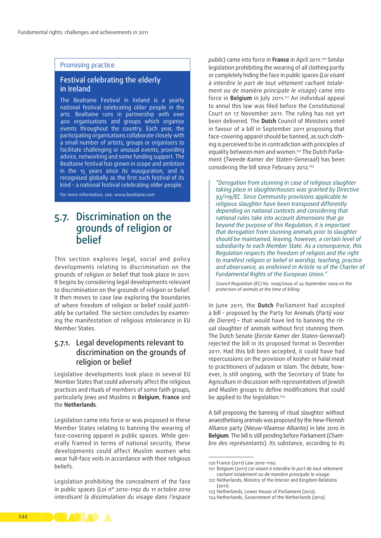#### Promising practice

## Festival celebrating the elderly in Ireland

The Bealtaine Festival in Ireland is a yearly national festival celebrating older people in the arts. Bealtaine runs in partnership with over 400 organisations and groups which organise events throughout the country. Each year, the participating organisations collaborate closely with a small number of artists, groups or organisers to facilitate challenging or unusual events, providing advice, networking and some funding support. The Bealtaine festival has grown in scope and ambition in the 15 years since its inauguration, and is recognised globally as the first such festival of its kind – a national festival celebrating older people.

*For more information, see: [www.bealtaine.com](http://www.bealtaine.com)*

## 5.7. Discrimination on the grounds of religion or **helief**

This section explores legal, social and policy developments relating to discrimination on the grounds of religion or belief that took place in 2011. It begins by considering legal developments relevant to discrimination on the grounds of religion or belief. It then moves to case law exploring the boundaries of where freedom of religion or belief could justifiably be curtailed. The section concludes by examining the manifestation of religious intolerance in EU Member States.

## 5.7.1. Legal developments relevant to discrimination on the grounds of religion or belief

Legislative developments took place in several EU Member States that could adversely affect the religious practices and rituals of members of some faith groups, particularly Jews and Muslims in **Belgium**, **France** and the **Netherlands**.

Legislation came into force or was proposed in these Member States relating to banning the wearing of face-covering apparel in public spaces. While generally framed in terms of national security, these developments could affect Muslim women who wear full-face veils in accordance with their religious beliefs.

Legislation prohibiting the concealment of the face in public spaces (*Loi n° 2010-1192 du 11 octobre 2010 interdisant la dissimulation du visage dans l'espace* 

*public*) came into force in **France** in April 2011.120 Similar legislation prohibiting the wearing of all clothing partly or completely hiding the face in public spaces (*Loi visant à interdire le port de tout vêtement cachant totale‑ ment ou de manière principale le visage*) came into force in **Belgium** in July 2011.121 An individual appeal to annul this law was filed before the Constitutional Court on 17 November 2011. The ruling has not yet been delivered. The **Dutch** Council of Ministers voted in favour of a bill in September 2011 proposing that face-covering apparel should be banned, as such clothing is perceived to be in contradiction with principles of equality between men and women.<sup>122</sup> The Dutch Parliament (*Tweede Kamer der Staten‑Generaal*) has been considering the bill since February 2012.<sup>123</sup>

*"Derogation from stunning in case of religious slaughter taking place in slaughterhouses was granted by Directive 93/119/EC. Since Community provisions applicable to religious slaughter have been transposed differently depending on national contexts and considering that national rules take into account dimensions that go beyond the purpose of this Regulation, it is important that derogation from stunning animals prior to slaughter should be maintained, leaving, however, a certain level of subsidiarity to each Member State. As a consequence, this Regulation respects the freedom of religion and the right to manifest religion or belief in worship, teaching, practice and observance, as enshrined in Article 10 of the Charter of Fundamental Rights of the European Union."*

*Council Regulation (EC) No. 1099/2009 of 24 September 2009 on the protection of animals at the time of killing*

In June 2011, the **Dutch** Parliament had accepted a bill – proposed by the Party for Animals (*Partij voor de Dieren*) – that would have led to banning the ritual slaughter of animals without first stunning them. The Dutch Senate (*Eerste Kamer der Staten‑Generaal*) rejected the bill in its proposed format in December 2011. Had this bill been accepted, it could have had repercussions on the provision of kosher or halal meat to practitioners of Judaism or Islam. The debate, however, is still ongoing, with the Secretary of State for Agriculture in discussion with representatives of Jewish and Muslim groups to define modifications that could be applied to the legislation.<sup>124</sup>

A bill proposing the banning of ritual slaughter without anaesthetising animals was proposed by the New‑Flemish Alliance party (*Nieuw‑Vlaamse Alliantie)* in late 2010 in **Belgium**. The bill is still pending before Parliament (*Cham‑ bre des représentants*). Its substance, according to its



<sup>120</sup> France (2011) Law 2010-1192.

<sup>121</sup> Belgium (2011) *Loi visant à interdire le port de tout vêtement cachant totalement ou de manière principale le visage*.

<sup>122</sup> Netherlands, Ministry of the Interior and Kingdom Relations (2011).

<sup>123</sup> Netherlands, Lower House of Parliament (2012).

<sup>124</sup> Netherlands, Government of the Netherlands (2012).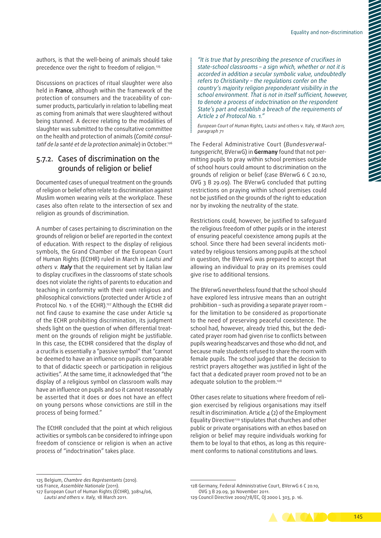authors, is that the well-being of animals should take precedence over the right to freedom of religion.125

Discussions on practices of ritual slaughter were also held in **France**, although within the framework of the protection of consumers and the traceability of consumer products, particularly in relation to labelling meat as coming from animals that were slaughtered without being stunned. A decree relating to the modalities of slaughter was submitted to the consultative committee on the health and protection of animals (*Comité consul‑ tatif de la santé et de la protection animale*) in October.126

## 5.7.2. Cases of discrimination on the grounds of religion or belief

Documented cases of unequal treatment on the grounds of religion or belief often relate to discrimination against Muslim women wearing veils at the workplace. These cases also often relate to the intersection of sex and religion as grounds of discrimination.

A number of cases pertaining to discrimination on the grounds of religion or belief are reported in the context of education. With respect to the display of religious symbols, the Grand Chamber of the European Court of Human Rights (ECtHR) ruled in March in *Lautsi and others v.* **Italy** that the requirement set by Italian law to display crucifixes in the classrooms of state schools does not violate the rights of parents to education and teaching in conformity with their own religious and philosophical convictions (protected under Article 2 of Protocol No. 1 of the ECHR).<sup>127</sup> Although the ECtHR did not find cause to examine the case under Article 14 of the ECHR prohibiting discrimination, its judgment sheds light on the question of when differential treatment on the grounds of religion might be justifiable. In this case, the ECtHR considered that the display of a crucifix is essentially a "passive symbol" that "cannot be deemed to have an influence on pupils comparable to that of didactic speech or participation in religious activities". At the same time, it acknowledged that "the display of a religious symbol on classroom walls may have an influence on pupils and so it cannot reasonably be asserted that it does or does not have an effect on young persons whose convictions are still in the process of being formed."

The ECtHR concluded that the point at which religious activities or symbols can be considered to infringe upon freedom of conscience or religion is when an active process of "indoctrination" takes place.

*"It is true that by prescribing the presence of crucifixes in state‑school classrooms – a sign which, whether or not it is accorded in addition a secular symbolic value, undoubtedly refers to Christianity – the regulations confer on the country's majority religion preponderant visibility in the school environment. That is not in itself sufficient, however, to denote a process of indoctrination on the respondent State's part and establish a breach of the requirements of Article 2 of Protocol No. 1."*

*European Court of Human Rights,* Lautsi and others v. Italy, *18 March 2011, paragraph 71*

The Federal Administrative Court (*Bundesverwal‑ tungsgericht*, BVerwG) in **Germany** found that not per‑ mitting pupils to pray within school premises outside of school hours could amount to discrimination on the grounds of religion or belief (case BVerwG 6 C 20.10, OVG 3 B 29.09). The BVerwG concluded that putting restrictions on praying within school premises could not be justified on the grounds of the right to education nor by invoking the neutrality of the state.

Restrictions could, however, be justified to safeguard the religious freedom of other pupils or in the interest of ensuring peaceful coexistence among pupils at the school. Since there had been several incidents motivated by religious tensions among pupils at the school in question, the BVerwG was prepared to accept that allowing an individual to pray on its premises could give rise to additional tensions.

The BVerwG nevertheless found that the school should have explored less intrusive means than an outright prohibition – such as providing a separate prayer room – for the limitation to be considered as proportionate to the need of preserving peaceful coexistence. The school had, however, already tried this, but the dedicated prayer room had given rise to conflicts between pupils wearing headscarves and those who did not, and because male students refused to share the room with female pupils. The school judged that the decision to restrict prayers altogether was justified in light of the fact that a dedicated prayer room proved not to be an adequate solution to the problem.<sup>128</sup>

Other cases relate to situations where freedom of religion exercised by religious organisations may itself result in discrimination. Article 4 (2) of the Employment Equality Directive<sup>129</sup> stipulates that churches and other public or private organisations with an ethos based on religion or belief may require individuals working for them to be loyal to that ethos, as long as this requirement conforms to national constitutions and laws.

<sup>129</sup> Council Directive 2000/78/EC, OJ 2000 L 303, p. 16.



<sup>125</sup> Belgium, *Chambre des Représentants* (2010).

<sup>126</sup> France, *Assemblée Nationale* (2011).

<sup>127</sup> European Court of Human Rights (ECtHR), 30814/06, *Lautsi and others v. Italy,* 18 March 2011.

<sup>128</sup> Germany, Federal Administrative Court, BVerwG 6 C 20.10, OVG 3 B 29.09, 30 November 2011.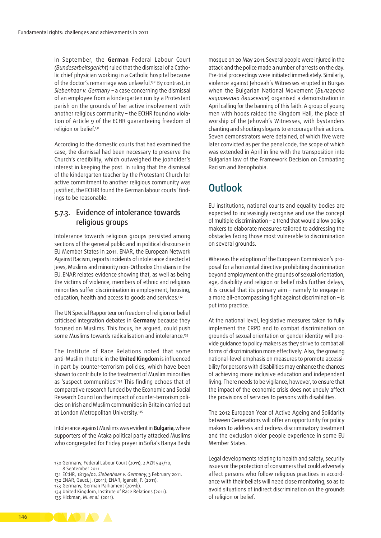In September, the **German** Federal Labour Court *(Bundesarbeitsgericht*) ruled that the dismissal of a Catho‑ lic chief physician working in a Catholic hospital because of the doctor's remarriage was unlawful.<sup>130</sup> By contrast, in *Siebenhaar v. Germany* – a case concerning the dismissal of an employee from a kindergarten run by a Protestant parish on the grounds of her active involvement with another religious community - the ECtHR found no violation of Article 9 of the ECHR guaranteeing freedom of religion or belief.131

According to the domestic courts that had examined the case, the dismissal had been necessary to preserve the Church's credibility, which outweighed the jobholder's interest in keeping the post. In ruling that the dismissal of the kindergarten teacher by the Protestant Church for active commitment to another religious community was justified, the ECtHR found the German labour courts' findings to be reasonable.

## 5.7.3. Evidence of intolerance towards religious groups

Intolerance towards religious groups persisted among sections of the general public and in political discourse in EU Member States in 2011. ENAR, the European Network Against Racism, reports incidents of intolerance directed at Jews, Muslims and minority non‑Orthodox Christians in the EU. ENAR relates evidence showing that, as well as being the victims of violence, members of ethnic and religious minorities suffer discrimination in employment, housing, education, health and access to goods and services.<sup>132</sup>

The UN Special Rapporteur on freedom of religion or belief criticised integration debates in **Germany** because they focused on Muslims. This focus, he argued, could push some Muslims towards radicalisation and intolerance.<sup>133</sup>

The Institute of Race Relations noted that some anti‑Muslim rhetoric in the **United Kingdom** is influenced in part by counter-terrorism policies, which have been shown to contribute to the treatment of Muslim minorities as 'suspect communities'.134 This finding echoes that of comparative research funded by the Economic and Social Research Council on the impact of counter-terrorism policies on Irish and Muslim communities in Britain carried out at London Metropolitan University.<sup>135</sup>

Intolerance against Muslims was evident in **Bulgaria**,where supporters of the Ataka political party attacked Muslims who congregated for Friday prayer in Sofia's Banya Bashi

130 Germany, Federal Labour Court (2011), 2 AZR 543/10, 8 September 2011.

132 ENAR, Gauci, J. (2011); ENAR, Iganski, P. (2011).

133 Germany, German Parliament (2011b).

mosque on 20 May 2011.Several people were injured in the attack and the police made a number of arrests on the day. Pre‑trial proceedings were initiated immediately. Similarly, violence against Jehovah's Witnesses erupted in Burgas when the Bulgarian National Movement (*Българско национално движение*) organised a demonstration in April calling for the banning of this faith. A group of young men with hoods raided the Kingdom Hall, the place of worship of the Jehovah's Witnesses, with bystanders chanting and shouting slogans to encourage their actions. Seven demonstrators were detained, of which five were later convicted as per the penal code, the scope of which was extended in April in line with the transposition into Bulgarian law of the Framework Decision on Combating Racism and Xenophobia.

## **Outlook**

EU institutions, national courts and equality bodies are expected to increasingly recognise and use the concept of multiple discrimination – a trend that would allow policy makers to elaborate measures tailored to addressing the obstacles facing those most vulnerable to discrimination on several grounds.

Whereas the adoption of the European Commission's proposal for a horizontal directive prohibiting discrimination beyond employment on the grounds of sexual orientation, age, disability and religion or belief risks further delays, it is crucial that its primary aim – namely to engage in a more all‑encompassing fight against discrimination – is put into practice.

At the national level, legislative measures taken to fully implement the CRPD and to combat discrimination on grounds of sexual orientation or gender identity will provide guidance to policy makers as they strive to combat all forms of discrimination more effectively. Also, the growing national-level emphasis on measures to promote accessibility for persons with disabilities may enhance the chances of achieving more inclusive education and independent living. There needs to be vigilance, however, to ensure that the impact of the economic crisis does not unduly affect the provisions of services to persons with disabilities.

The 2012 European Year of Active Ageing and Solidarity between Generations will offer an opportunity for policy makers to address and redress discriminatory treatment and the exclusion older people experience in some EU Member States.

Legal developments relating to health and safety, security issues or the protection of consumers that could adversely affect persons who follow religious practices in accordance with their beliefs will need close monitoring, so as to avoid situations of indirect discrimination on the grounds of religion or belief.



<sup>131</sup> ECtHR, 18136/02, *Siebenhaar v. Germany*, 3 February 2011.

<sup>134</sup> United Kingdom, Institute of Race Relations (2011).

<sup>135</sup> Hickman, M. *et al.* (2011).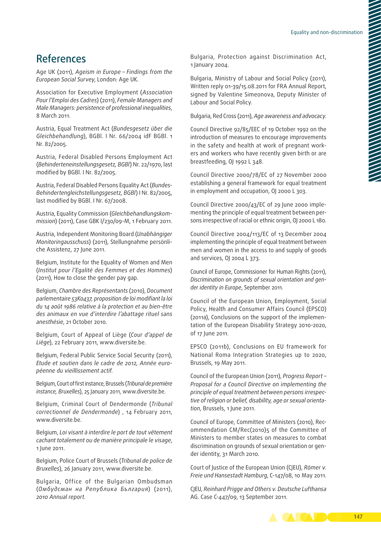## References

Age UK (2011), *Ageism in Europe – Findings from the European Social Survey*, London: Age UK.

Association for Executive Employment (*Association Pour l'Emploi des Cadres*) (2011), *Female Managers and Male Managers: persistence of professional inequalities*, 8 March 2011.

Austria, Equal Treatment Act (*Bundesgesetz über die Gleichbehandlung*), BGBl. I Nr. 66/2004 idF BGBl. 1 Nr. 82/2005.

Austria, Federal Disabled Persons Employment Act (*Behinderteneinstellungsgesetz, BGBl*) Nr. 22/1970, last modified by BGBl. I Nr. 82/2005.

Austria, Federal Disabled Persons Equality Act (*Bundes‑ Behindertengleichstellungsgesetz, BGBl*) I Nr. 82/2005, last modified by BGBl. I Nr. 67/2008.

Austria, Equality Commission (*Gleichbehandlungskom‑ mission*) (2011), Case GBK I/230/09-M, 1 February 2011.

Austria, Independent Monitoring Board (*Unabhängiger Monitoringausschuss*) (2011), Stellungnahme persönli‑ che Assistenz, 27 June 2011.

Belgium, Institute for the Equality of Women and Men (*Institut pour l'Egalité des Femmes et des Hommes*) (2011), How to close the gender pay gap.

Belgium, *Chambre des Représentants* (2010), *Document parlementaire 53K0437, proposition de loi modifiant la loi du 14 août 1986 relative à la protection et au bien‑être des animaux en vue d'interdire l'abattage rituel sans anesthésie*, 21 October 2010.

Belgium, Court of Appeal of Liège (*Cour d'appel de Liège*), 22 February 2011, [www.diversite.be](http://www.diversite.be).

Belgium, Federal Public Service Social Security (2011), *Etude et soutien dans le cadre de 2012, Année euro‑ péenne du vieillissement actif*.

Belgium, Court of first instance, Brussels (*Tribunal de première instance, Bruxelles*), 25 January 2011, [www.diversite.be.](http://www.diversite.be)

Belgium, Criminal Court of Dendermonde (*Tribunal correctionnel de Dendermonde*) , 14 February 2011, www.diversite.be.

Belgium, *Loi visant à interdire le port de tout vêtement cachant totalement ou de manière principale le visage*, 1 June 2011.

Belgium, Police Court of Brussels (*Tribunal de police de Bruxelles*), 26 January 2011, [www.diversite.be](http://www.diversite.be).

Bulgaria, Office of the Bulgarian Ombudsman (*Омбудсман на Република България*) (2011), *2010 Annual report.*

Bulgaria, Protection against Discrimination Act, 1 January 2004.

Bulgaria, Ministry of Labour and Social Policy (2011), Written reply 01-39/15.08.2011 for FRA Annual Report, signed by Valentine Simeonova, Deputy Minister of Labour and Social Policy.

Bulgaria, Red Cross (2011), *Age awareness and advocacy*.

Council Directive 92/85/EEC of 19 October 1992 on the introduction of measures to encourage improvements in the safety and health at work of pregnant workers and workers who have recently given birth or are breastfeeding, OJ 1992 L 348.

Council Directive 2000/78/EC of 27 November 2000 establishing a general framework for equal treatment in employment and occupation, OJ 2000 L 303.

Council Directive 2000/43/EC of 29 June 2000 imple‑ menting the principle of equal treatment between persons irrespective of racial or ethnic origin, OJ 2000 L 180.

Council Directive 2004/113/EC of 13 December 2004 implementing the principle of equal treatment between men and women in the access to and supply of goods and services, OJ 2004 L 373.

Council of Europe, Commissioner for Human Rights (2011), *Discrimination on grounds of sexual orientation and gen‑ der identity in Europe*, September 2011.

Council of the European Union, Employment, Social Policy, Health and Consumer Affairs Council (EPSCO) (2011a), Conclusions on the support of the implementation of the European Disability Strategy 2010-2020, of 17 June 2011.

EPSCO (2011b), Conclusions on EU framework for National Roma Integration Strategies up to 2020, Brussels, 19 May 2011.

Council of the European Union (2011), *Progress Report – Proposal for a Council Directive on implementing the principle of equal treatment between persons irrespec‑ tive of religion or belief, disability, age or sexual orienta‑ tion*, Brussels, 1 June 2011.

Council of Europe, Committee of Ministers (2010), Rec‑ ommendation CM/Rec(2010)5 of the Committee of Ministers to member states on measures to combat discrimination on grounds of sexual orientation or gender identity, 31 March 2010.

Court of Justice of the European Union (CJEU), *Römer v. Freie und Hansestadt Hamburg*, C-147/08, 10 May 2011.

CJEU, *Reinhard Prigge and Others v. Deutsche Lufthansa* AG. Case C-447/09, 13 September 2011.

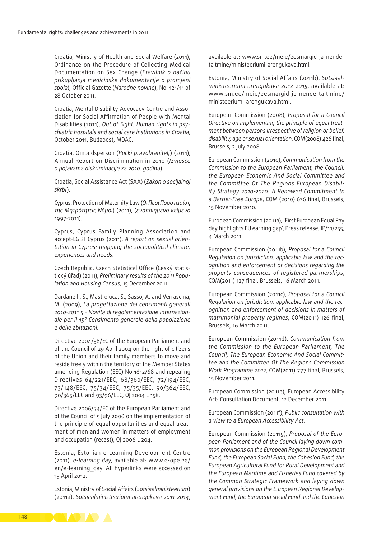Croatia, Ministry of Health and Social Welfare (2011), Ordinance on the Procedure of Collecting Medical Documentation on Sex Change (*Pravilnik o načinu prikupljanja medicinske dokumentacije o promjeni spola*)*,* Official Gazette (*Narodne novine*), No. 121/11 of 28 October 2011.

Croatia, Mental Disability Advocacy Centre and Association for Social Affirmation of People with Mental Disabilities (2011), *Out of Sight: Human rights in psy‑ chiatric hospitals and social care institutions in Croatia*, October 2011, Budapest, MDAC.

Croatia, Ombudsperson (*Pučki pravobranitelj*) (2011), Annual Report on Discrimination in 2010 (*Izvješće o pojavama diskriminacije za 2010. godinu*).

Croatia, Social Assistance Act (SAA) (*Zakon o socijalnoj skrbi*).

Cyprus, Protection of Maternity Law (*Οι Περί Προστασίας της Μητρότητας Νόμοι*) (2011), (*ενοποιημένο κείμενο* 1997-2011).

Cyprus, Cyprus Family Planning Association and accept‑LGBT Cyprus (2011), *A report on sexual orien‑ tation in Cyprus: mapping the sociopolitical climate, experiences and needs*.

Czech Republic, Czech Statistical Office (Český statis‑ tický úřad) (2011), *Preliminary results of the 2011 Popu‑ lation and Housing Census*, 15 December 2011.

Dardanelli, S., Mastroluca, S., Sasso, A. and Verrascina, M. (2009), *La progettazione dei censimenti generali 2010-2011 5 – Novità di regolamentazione internazion‑ ale per il 15° Censimento generale della popolazione e delle abitazioni*.

Directive 2004/38/EC of the European Parliament and of the Council of 29 April 2004 on the right of citizens of the Union and their family members to move and reside freely within the territory of the Member States amending Regulation (EEC) No 1612/68 and repealing Directives 64/221/EEC, 68/360/EEC, 72/194/EEC, 73/148/EEC, 75/34/EEC, 75/35/EEC, 90/364/EEC, 90/365/EEC and 93/96/EEC, OJ 2004 L 158.

Directive 2006/54/EC of the European Parliament and of the Council of 5 July 2006 on the implementation of the principle of equal opportunities and equal treatment of men and women in matters of employment and occupation (recast), OJ 2006 L 204.

Estonia, Estonian e‑Learning Development Centre (2011), *e‑learning day*, available at: [www.e‑ope.ee/](http://www.e-ope.ee/en/e-learning_day) [en/e‑learning\\_day](http://www.e-ope.ee/en/e-learning_day). All hyperlinks were accessed on 13 April 2012.

Estonia, Ministry of Social Affairs (*Sotsiaalministeerium*) (2011a), *Sotsiaalministeeriumi arengukava 2011-2014*, available at: [www.sm.ee/meie/eesmargid-ja-nende](http://www.sm.ee/meie/eesmargid-ja-nende-taitmine/ministeeriumi-arengukava.html)[taitmine/ministeeriumi-arengukava.html](http://www.sm.ee/meie/eesmargid-ja-nende-taitmine/ministeeriumi-arengukava.html).

Estonia, Ministry of Social Affairs (2011b), *Sotsiaal‑ ministeeriumi arengukava 2012–2015*, available at: [www.sm.ee/meie/eesmargid-ja-nende-taitmine/](http://www.sm.ee/meie/eesmargid-ja-nende-taitmine/ministeeriumi-arengukava.html) [ministeeriumi-arengukava.html.](http://www.sm.ee/meie/eesmargid-ja-nende-taitmine/ministeeriumi-arengukava.html)

European Commission (2008), *Proposal for a Council Directive on implementing the principle of equal treat‑ ment between persons irrespective of religion or belief, disability, age or sexual orientation*, COM(2008) 426 final, Brussels, 2 July 2008.

European Commission (2010), *Communication from the Commission to the European Parliament, the Council, the European Economic And Social Committee and the Committee Of The Regions European Disabil‑ ity Strategy 2010-2020: A Renewed Commitment to a Barrier‑Free Europe*, COM (2010) 636 final, Brussels, 15 November 2010.

European Commission (2011a), 'First European Equal Pay day highlights EU earning gap', Press release, IP/11/255, 4 March 2011.

European Commission (2011b), *Proposal for a Council Regulation on jurisdiction, applicable law and the rec‑ ognition and enforcement of decisions regarding the property consequences of registered partnerships*, COM(2011) 127 final, Brussels, 16 March 2011.

European Commission (2011c), *Proposal for a Council Regulation on jurisdiction, applicable law and the rec‑ ognition and enforcement of decisions in matters of matrimonial property regimes*, COM(2011) 126 final, Brussels, 16 March 2011.

European Commission (2011d), *Communication from the Commission to the European Parliament, The Council, The European Economic And Social Commit‑ tee and the Committee Of The Regions Commission Work Programme 2012*, COM(2011) 777 final, Brussels, 15 November 2011.

European Commission (2011e), European Accessibility Act: Consultation Document, 12 December 2011.

European Commission (2011f), *Public consultation with a view to a European Accessibility Act*.

European Commission (2011g), *Proposal of the Euro‑ pean Parliament and of the Council laying down com‑ mon provisions on the European Regional Development Fund, the European Social Fund, the Cohesion Fund, the European Agricultural Fund for Rural Development and the European Maritime and Fisheries Fund covered by the Common Strategic Framework and laying down general provisions on the European Regional Develop‑ ment Fund, the European social Fund and the Cohesion* 

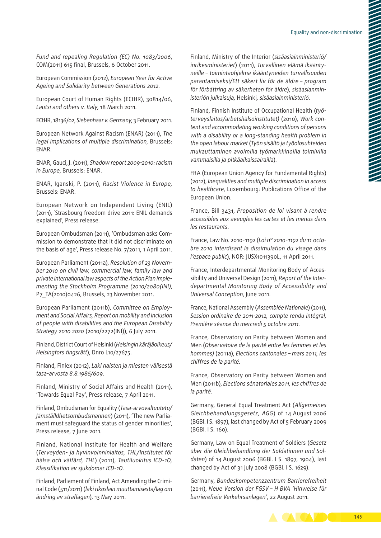*Fund and repealing Regulation (EC) No. 1083/2006*, COM(2011) 615 final, Brussels, 6 October 2011.

European Commission (2012), *European Year for Active Ageing and Solidarity between Generations 2012*.

European Court of Human Rights (ECtHR), 30814/06, *Lautsi and others v. Italy*, 18 March 2011.

ECtHR, 18136/02, *Siebenhaar v. Germany*, 3 February 2011.

European Network Against Racism (ENAR) (2011), *The legal implications of multiple discrimination*, Brussels: ENAR.

ENAR, Gauci, J. (2011), *Shadow report 2009-2010: racism in Europe*, Brussels: ENAR.

ENAR, Iganski, P. (2011), *Racist Violence in Europe,*  Brussels: ENAR.

European Network on Independent Living (ENIL) (2011), ' Strasbourg freedom drive 2011: ENIL demands explained', Press release.

European Ombudsman (2011), 'Ombudsman asks Com‑ mission to demonstrate that it did not discriminate on the basis of age', Press release No. 7/2011, 1 April 2011.

European Parliament (2011a), *Resolution of 23 Novem‑ ber 2010 on civil law, commercial law, family law and private international law aspects of the Action Plan imple‑ menting the Stockholm Programme (2010/2080(INI)*, P7\_TA(2010)0426, Brussels, 23 November 2011.

European Parliament (2011b), *Committee on Employ‑ ment and Social Affairs, Report on mobility and inclusion of people with disabilities and the European Disability Strategy 2010 2020* (2010/2272(INI)), 6 July 2011.

Finland, District Court of Helsinki (*Helsingin käräjäoikeus/ Helsingfors tingsrätt*), Dnro L10/27675.

Finland, Finlex (2012), *Laki naisten ja miesten välisestä tasa‑arvosta 8.8.1986/609*.

Finland, Ministry of Social Affairs and Health (2011), 'Towards Equal Pay', Press release, 7 April 2011.

Finland, Ombudsman for Equality (*Tasa‑arvovaltuutetu/ Jämställdhetsombudsmannen*) (2011), 'The new Parlia‑ ment must safeguard the status of gender minorities', Press release, 7 June 2011.

Finland, National Institute for Health and Welfare (*Terveyden- ja hyvinvoinninlaitos, THL/Institutet för hälsa och välfärd, THL*) (2011), *Tautiluokitus ICD-1O, Klassifikation av sjukdomar ICD-1O*.

Finland, Parliament of Finland, Act Amending the Criminal Code (511/2011) (*laki rikoslain muuttamisesta/lag om ändring av straflagen*), 13 May 2011.

Finland, Ministry of the Interior (*sisäasiainministeriö/ inrikesministeriet*) (2011), *Turvallinen elämä ikäänty‑ neille – toimintaohjelma ikääntyneiden turvallisuuden parantamiseksi/Ett säkert liv för de äldre – program för förbättring av säkerheten för äldre*), *sisäasianmin‑ isteriön julkaisuja,* Helsinki*, sisäasiainministeriö*.

Finland, Finnish Institute of Occupational Health (*työ‑ terveyslaitos/arbetshälsoinstitutet)* (2010), *Work con‑ tent and accommodating working conditions of persons with a disability or a long‑standing health problem in the open labour market* (*Työn sisältö ja työolosuhteiden mukauttaminen avoimilla työmarkkinoilla toimivilla vammaisilla ja pitkäaikaissairailla*).

FRA (European Union Agency for Fundamental Rights) (2012), *Inequalities and multiple discrimination in access to healthcare*, Luxembourg: Publications Office of the European Union.

France, Bill 3431, *Proposition de loi visant à rendre accessibles aux aveugles les cartes et les menus dans les restaurants*.

France, Law No. 2010-1192 (*Loi n° 2010-1192 du 11 octo‑ bre 2010 interdisant la dissimulation du visage dans l'espace public*), NOR: JUSX1011390L, 11 April 2011.

France, Interdepartmental Monitoring Body of Accessibility and Universal Design (2011), *Report of the Inter‑ departmental Monitoring Body of Accessibility and Universal Conception*, June 2011.

France, National Assembly (*Assemblée Nationale*) (2011), *Session ordinaire de 2011-2012, compte rendu intégral, Première séance du mercredi 5 octobre 2011*.

France, Observatory on Parity between Women and Men (*Observatoire de la parité entre les femmes et les hommes)* (2011a), *Elections cantonales – mars 2011, les chiffres de la parité*.

France, Observatory on Parity between Women and Men (2011b), *Elections sénatoriales 2011, les chiffres de la parité*.

Germany, General Equal Treatment Act (*Allgemeines Gleichbehandlungsgesetz, AGG*) of 14 August 2006 (BGBl. I S. 1897), last changed by Act of 5 February 2009 (BGBl. I S. 160).

Germany, Law on Equal Treatment of Soldiers (*Gesetz über die Gleichbehandlung der Soldatinnen und Sol‑ daten*) of 14 August 2006 (BGBl. I S. 1897, 1904), last changed by Act of 31 July 2008 (BGBl. I S. 1629).

Germany, *Bundeskompetenzzentrum Barrierefreiheit* (2011), *Neue Version der FGSV – H BVA 'Hinweise für barrierefreie Verkehrsanlagen'*, 22 August 2011.

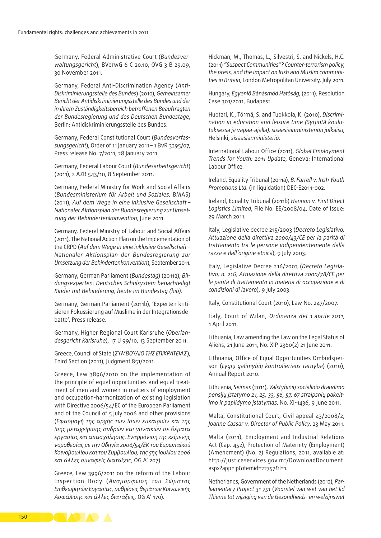Germany, Federal Administrative Court (*Bundesver‑ waltungsgericht*), BVerwG 6 C 20.10, OVG 3 B 29.09, 30 November 2011.

Germany, Federal Anti‑Discrimination Agency (*Anti‑ Diskriminierungsstelle des Bundes*) (2010), *Gemeinsamer Bericht der Antidiskriminierungsstelle des Bundes und der in ihrem Zuständigkeitsbereich betroffenen Beauftragten der Bundesregierung und des Deutschen Bundestage*, Berlin: Antidiskriminierungsstelle des Bundes.

Germany, Federal Constitutional Court (*Bundesverfas‑ sungsgericht*), Order of 11 January 2011 – 1 BvR 3295/07, Press release No. 7/2011, 28 January 2011.

Germany, Federal Labour Court (*Bundesarbeitsgericht*) (2011), 2 AZR 543/10, 8 September 2011.

Germany, Federal Ministry for Work and Social Affairs (*Bundesministerium für Arbeit und Soziales,* BMAS) (2011), *Auf dem Wege in eine inklusive Gesellschaft – Nationaler Aktionsplan der Bundesregierung zur Umset‑ zung der Behindertenkonvention*, June 2011.

Germany, Federal Ministry of Labour and Social Affairs (2011), The National Action Plan on the Implementation of the CRPD (*Auf dem Wege in eine inklusive Gesellschaft – Nationaler Aktionsplan der Bundesregierung zur Umsetzung der Behindertenkonvention*), September 2011.

Germany, German Parliament (*Bundestag*) (2011a), *Bil‑ dungsexperten: Deutsches Schulsystem benachteiligt Kinder mit Behinderung, heute im Bundestag (hib)*.

Germany, German Parliament (2011b), 'Experten kritisieren Fokussierung auf Muslime in der Integrationsdebatte', Press release.

Germany, Higher Regional Court Karlsruhe (*Oberlan‑ desgericht Karlsruhe*), 17 U 99/10, 13 September 2011.

Greece, Council of State (*ΣΥΜΒΟΥΛΙΟ ΤΗΣ ΕΠΙΚΡΑΤΕΙΑΣ*), Third Section (2011), Judgment 851/2011.

Greece, Law 3896/2010 on the implementation of the principle of equal opportunities and equal treatment of men and women in matters of employment and occupation-harmonization of existing legislation with Directive 2006/54/EC of the European Parliament and of the Council of 5 July 2006 and other provisions (*Εφαρμογή της αρχής των ίσων ευκαιριών και της ίσης μεταχείρισης ανδρών και γυναικών σε θέματα εργασίας και απασχόλησης. Εναρμόνιση της κείμενης νομοθεσίας με την Οδηγία 2006/54/ΕΚ του Ευρωπαϊκού Κοινοβουλίου και του Συμβουλίου, της 5ης Ιουλίου 2006 και άλλες συναφείς διατάξεις,* OG A' 207).

Greece, Law 3996/2011 on the reform of the Labour Inspection Body (*Αναμόρφωση του Σώματος Επιθεωρητών Εργασίας, ρυθμίσεις θεμάτων Κοινωνικής Ασφάλισης και άλλες διατάξεις,* OG A' 170).

Hickman, M., Thomas, L., Silvestri, S. and Nickels, H.C. (2011) *"Suspect Communities"? Counter‑terrorism policy*, *the press, and the impact on Irish and Muslim communi‑ ties in Britain*, London Metropolitan University*,* July 2011.

Hungary, *Egyenlő Bánásmód Hatóság*, (2011)*,* Resolution Case 301/2011, Budapest.

Huotari, K., Törmä, S. and Tuokkola, K. (2010), *Discrimi‑ nation in education and leisure time (Syrjintä koulu‑ tuksessa ja vapaa‑ajalla), sisäasiainministeriön julkaisu*, Helsinki, *sisäasianministeriö*.

International Labour Office (2011), *Global Employment Trends for Youth: 2011 Update*, Geneva: International Labour Office.

Ireland, Equality Tribunal (2011a), *B. Farrell v. Irish Youth Promotions Ltd*. (in liquidation) DEC‑E2011-002.

Ireland, Equality Tribunal (2011b) *Hannon v. First Direct Logistics Limited*, File No. EE/2008/04, Date of Issue: 29 March 2011.

Italy, Legislative decree 215/2003 (*Decreto Legislativo, Attuazione della direttiva 2000/43/CE per la parità di trattamento tra le persone indipendentemente dalla razza e dall'origine etnica*), 9 July 2003.

Italy, Legislative Decree 216/2003 (*Decreto Legisla‑ tivo, n. 216, Attuazione della direttiva 2000/78/CE per la parità di trattamento in materia di occupazione e di condizioni di lavoro*), 9 July 2003.

Italy, Constitutional Court (2010), Law No. 247/2007.

Italy, Court of Milan, *Ordinanza del 1 aprile 2011*, 1 April 2011.

Lithuania, Law amending the Law on the Legal Status of Aliens, 21 June 2011, No. XIP-2360(2) 21 June 2011.

Lithuania, Office of Equal Opportunities Ombudsperson (*Lygių galimybių kontrolieriaus tarnyba*) (2010), Annual Report 2010.

Lithuania, *Seimas* (2011), *Valstybinių socialinio draudimo pensijų įstatymo 21, 25, 33, 56, 57, 67 straipsnių pakeit‑ imo ir papildymo įstatymas*, No. XI-1436, 9 June 2011.

Malta, Constitutional Court, Civil appeal 43/2008/2, *Joanne Cassar v. Director of Public Policy*, 23 May 2011.

Malta (2011), Employment and Industrial Relations Act (Cap. 452), Protection of Maternity (Employment) (Amendment) (No. 2) Regulations, 2011, available at: [http://justiceservices.gov.mt/DownloadDocument.](http://justiceservices.gov.mt/DownloadDocument.aspx?app=lp&itemid=22757&l=1) [aspx?app=lp&itemid=22757&l=1](http://justiceservices.gov.mt/DownloadDocument.aspx?app=lp&itemid=22757&l=1).

Netherlands, Government of the Netherlands (2012), *Par‑ liamentary Project 31 751* (*Voorstel van wet van het lid Thieme tot wijziging van de Gezondheids- en welzijnswet* 

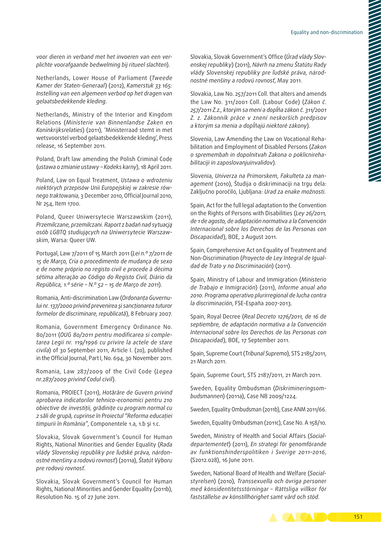*voor dieren in verband met het invoeren van een ver‑ plichte voorafgaande bedwelming bij ritueel slachten*).

Netherlands, Lower House of Parliament (*Tweede Kamer der Staten‑Generaal*) (2012), *Kamerstuk 33 165: Instelling van een algemeen verbod op het dragen van gelaatsbedekkende kleding*.

Netherlands, Ministry of the Interior and Kingdom Relations (*Ministerie van Binnenlandse Zaken en Koninkrijksrelaties*) (2011), 'Ministerraad stemt in met wetsvoorstel verbod gelaatsbedekkende kleding', Press release, 16 September 2011.

Poland, Draft law amending the Polish Criminal Code (*ustawa o zmianie ustawy – Kodeks karny*), 18 April 2011.

Poland, Law on Equal Treatment, *Ustawa o wdrożeniu niektórych przepisów Unii Europejskiej w zakresie rów‑ nego traktowania*, 3 December 2010, Official Journal 2010, Nr 254, Item 1700.

Poland, Queer Uniwersytecie Warszawskim (2011), *Przemilczane, przemilczani. Raport z badań nad sytuacją osób LGBTQ studiujących na Uniwersytecie Warszaw‑ skim*, Warsa: Queer UW.

Portugal, Law 7/2011 of 15 March 2011 (*Lei n.º 7/2011 de 15 de Março, Cria o procedimento de mudança de sexo e de nome próprio no registo civil e procede à décima sétima alteração ao Código do Registo Civil, Diário da República, 1.ª série – N.º 52 – 15 de Março de 2011*).

Romania, Anti‑discrimination Law (*Ordonanţa Guvernu‑ lui nr. 137/2000 privind prevenirea şi sancţionarea tuturor formelor de discriminare, republicată*), 8 February 2007.

Romania, Government Emergency Ordinance No. 80/2011 (*OUG 80/2011 pentru modificarea si comple‑ tarea Legii nr. 119/1996 cu privire la actele de stare civila*) of 30 September 2011, Article I. (20), published in the Official Journal, Part I, No. 694, 30 November 2011.

Romania, Law 287/2009 of the Civil Code (*Legea nr.287/2009 privind Codul civil*).

Romania, PROIECT (2011), *Hotărâre de Guvern privind aprobarea indicatorilor tehnico‑economici pentru 210 obiective de investiţii, grădiniţe cu program normal cu 2 săli de grupă, cuprinse în Proiectul "Reforma educaţiei timpurii în România"*, Componentele 1.a, 1.b şi 1.c.

Slovakia, Slovak Government's Council for Human Rights, National Minorities and Gender Equality (*Rada vlády Slovenskej republiky pre ľudské práva, nárdon‑ ostné menšiny a rodovú rovnosť*) (2011a), *Štatút Výboru pre rodovú rovnosť*.

Slovakia, Slovak Government's Council for Human Rights, National Minorities and Gender Equality (2011b), Resolution No. 15 of 27 June 2011.

Slovakia, Slovak Government's Office (*Úrad vlády Slov‑ enskej republiky*) (2011), *Návrh na zmenu Štatútu Rady vlády Slovenskej republiky pre ľudské práva, národ‑ nostné menšiny a rodovú rovnosť*, May 2011.

Slovakia, Law No. 257/2011 Coll. that alters and amends the Law No. 311/2001 Coll. (Labour Code) (*Zákon č. 257/2011 Z.z., ktorým sa mení a dopĺňa zákon č. 311/2001 Z. z. Zákonník práce v znení neskorších predpisov a ktorým sa menia a dopĺňajú niektoré zákony*).

Slovenia, Law Amending the Law on Vocational Rehabilitation and Employment of Disabled Persons (*Zakon o spremembah in dopolnitvah Zakona o poklicnireha‑ bilitaciji in zaposlovanjuinvalidov*).

Slovenia, *Univerza na Primorskem, Fakulteta za man‑ agement* (2010), Študija o diskriminaciji na trgu dela: Zaključno poročilo, Ljubljana: *Urad za enake možnosti*.

Spain, Act for the full legal adaptation to the Convention on the Rights of Persons with Disabilities (*Ley 26/2011, de 1 de agosto, de adaptación normativa a la Convención Internacional sobre los Derechos de las Personas con Discapacidad*), BOE, 2 August 2011.

Spain, Comprehensive Act on Equality of Treatment and Non‑Discrimination (*Proyecto de Ley Integral de Igual‑ dad de Trato y no Discriminación*) (2011).

Spain, Ministry of Labour and Immigration (*Ministerio de Trabajo e Inmigración*) (2011), *Informe anual año 2010. Programa operativo plurirregional de lucha contra la discriminación*, FSE‑España 2007-2013.

Spain, Royal Decree (*Real Decreto 1276/2011, de 16 de septiembre, de adaptación normativa a la Convención Internacional sobre los Derechos de las Personas con Discapacidad*), BOE, 17 September 2011.

Spain, Supreme Court (*Tribunal Supremo*), STS 2185/2011, 21 March 2011.

Spain, Supreme Court, STS 2187/2011, 21 March 2011.

Sweden, Equality Ombudsman (*Diskrimineringsom‑ budsmannen*) (2011a), Case NB 2009/1224.

Sweden, Equality Ombudsman (2011b), Case ANM 2011/66.

Sweden, Equality Ombudsman (2011c), Case No. A 158/10.

Sweden, Ministry of Health and Social Affairs (*Social‑ departementet*) (2011), *En strategi för genomförande av funktionshinderspolitiken i Sverige 2011–2016*, (S2012.028), 16 June 2011.

Sweden, National Board of Health and Welfare (*Social‑ styrelsen*) (2010), *Transsexuella och övriga personer med könsidentitetsstörningar – Rättsliga villkor för fastställelse av könstillhörighet samt vård och stöd*.

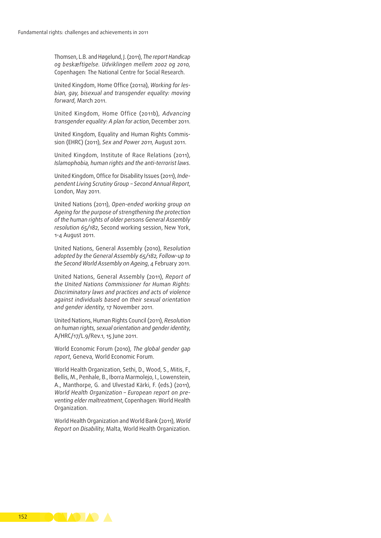Thomsen, L.B. and Høgelund, J. (2011), *The report Handicap og beskæftigelse. Udviklingen mellem 2002 og 2010,*  Copenhagen: The National Centre for Social Research.

United Kingdom, Home Office (2011a), *Working for les‑ bian, gay, bisexual and transgender equality: moving forward*, March 2011.

United Kingdom, Home Office (2011b), *Advancing transgender equality: A plan for action*, December 2011.

United Kingdom, Equality and Human Rights Commis‑ sion (EHRC) (2011), *Sex and Power 2011*, August 2011.

United Kingdom, Institute of Race Relations (2011), *Islamophobia, human rights and the anti‑terrorist laws*.

United Kingdom, Office for Disability Issues (2011), *Inde‑ pendent Living Scrutiny Group – Second Annual Report*, London, May 2011.

United Nations (2011), *Open‑ended working group on Ageing for the purpose of strengthening the protection of the human rights of older persons General Assembly resolution 65/182*, Second working session, New York, 1-4 August 2011.

United Nations, General Assembly (2010), R*esolution adopted by the General Assembly 65/182, Follow‑up to the Second World Assembly on Ageing*, 4 February 2011.

United Nations, General Assembly (2011), *Report of the United Nations Commissioner for Human Rights: Discriminatory laws and practices and acts of violence against individuals based on their sexual orientation and gender identity*, 17 November 2011.

United Nations, Human Rights Council (2011), *Resolution on human rights, sexual orientation and gender identity*, A/HRC/17/L.9/Rev.1, 15 June 2011.

World Economic Forum (2010), *The global gender gap report*, Geneva, World Economic Forum.

World Health Organization, Sethi, D., Wood, S., Mitis, F., Bellis, M., Penhale, B., Iborra Marmolejo, I., Lowenstein, A., Manthorpe, G. and Ulvestad Kärki, F. (eds.) (2011), *World Health Organization – European report on pre‑ venting elder maltreatment*, Copenhagen: World Health Organization.

World Health Organization and World Bank (2011), *World Report on Disability*, Malta, World Health Organization.